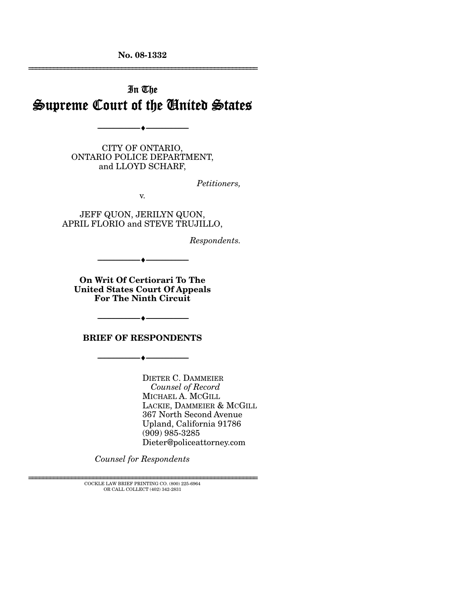**No. 08-1332**  ================================================================

# In The Supreme Court of the United States

--------------------------------- ♦ ---------------------------------

CITY OF ONTARIO, ONTARIO POLICE DEPARTMENT, and LLOYD SCHARF,

*Petitioners,* 

v.

JEFF QUON, JERILYN QUON, APRIL FLORIO and STEVE TRUJILLO,

*Respondents.* 

--------------------------------- ♦ ---------------------------------

**On Writ Of Certiorari To The United States Court Of Appeals For The Ninth Circuit** 

**BRIEF OF RESPONDENTS** 

--------------------------------- ♦ ---------------------------------

--------------------------------- ♦ ---------------------------------

DIETER C. DAMMEIER *Counsel of Record* MICHAEL A. MCGILL LACKIE, DAMMEIER & MCGILL 367 North Second Avenue Upland, California 91786 (909) 985-3285 Dieter@policeattorney.com

*Counsel for Respondents* 

 ${\rm COCKLE}$  LAW BRIEF PRINTING CO. (800) 225-6964 OR CALL COLLECT (402) 342-2831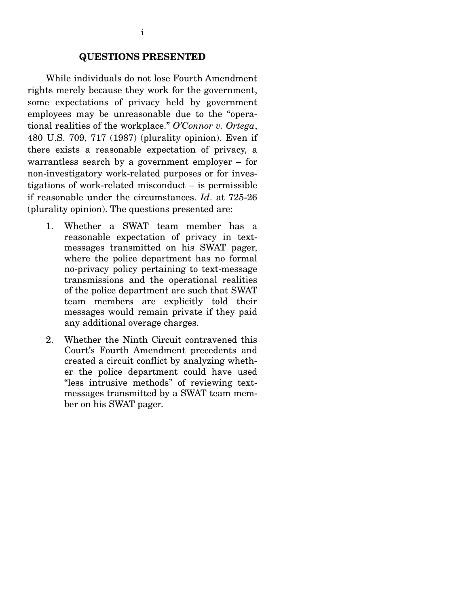While individuals do not lose Fourth Amendment rights merely because they work for the government, some expectations of privacy held by government employees may be unreasonable due to the "operational realities of the workplace." *O'Connor v. Ortega*, 480 U.S. 709, 717 (1987) (plurality opinion). Even if there exists a reasonable expectation of privacy, a warrantless search by a government employer – for non-investigatory work-related purposes or for investigations of work-related misconduct – is permissible if reasonable under the circumstances. *Id*. at 725-26 (plurality opinion). The questions presented are:

- 1. Whether a SWAT team member has a reasonable expectation of privacy in textmessages transmitted on his SWAT pager, where the police department has no formal no-privacy policy pertaining to text-message transmissions and the operational realities of the police department are such that SWAT team members are explicitly told their messages would remain private if they paid any additional overage charges.
- 2. Whether the Ninth Circuit contravened this Court's Fourth Amendment precedents and created a circuit conflict by analyzing whether the police department could have used "less intrusive methods" of reviewing textmessages transmitted by a SWAT team member on his SWAT pager.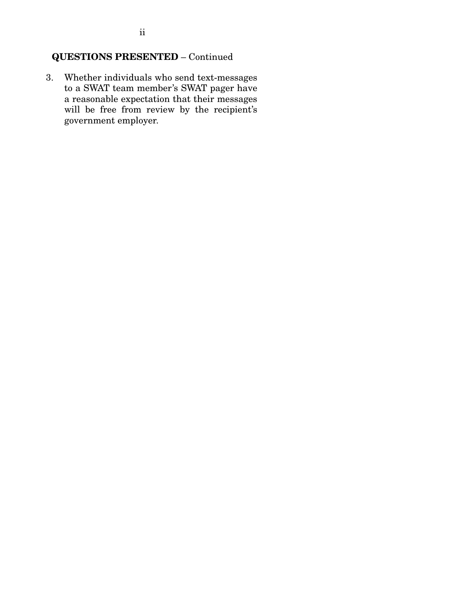## **QUESTIONS PRESENTED** – Continued

3. Whether individuals who send text-messages to a SWAT team member's SWAT pager have a reasonable expectation that their messages will be free from review by the recipient's government employer.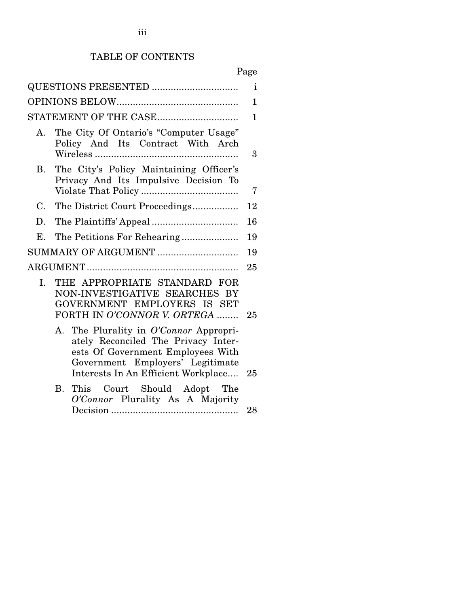# TABLE OF CONTENTS

# Page

|              |                                                                                                                                                                                               | 1  |
|--------------|-----------------------------------------------------------------------------------------------------------------------------------------------------------------------------------------------|----|
|              |                                                                                                                                                                                               | 1  |
|              | STATEMENT OF THE CASE                                                                                                                                                                         | 1  |
| $A_{1}$      | The City Of Ontario's "Computer Usage"<br>Policy And Its Contract With Arch                                                                                                                   | 3  |
| B.           | The City's Policy Maintaining Officer's<br>Privacy And Its Impulsive Decision To                                                                                                              | 7  |
| $C_{\cdot}$  | The District Court Proceedings                                                                                                                                                                | 12 |
| D.           |                                                                                                                                                                                               | 16 |
| E.           |                                                                                                                                                                                               | 19 |
|              | SUMMARY OF ARGUMENT                                                                                                                                                                           | 19 |
|              |                                                                                                                                                                                               | 25 |
| $\mathbf{L}$ | THE APPROPRIATE STANDARD FOR<br>NON-INVESTIGATIVE SEARCHES BY<br>GOVERNMENT EMPLOYERS IS SET<br>FORTH IN O'CONNOR V. ORTEGA                                                                   | 25 |
|              | A. The Plurality in O'Connor Appropri-<br>ately Reconciled The Privacy Inter-<br>ests Of Government Employees With<br>Government Employers' Legitimate<br>Interests In An Efficient Workplace | 25 |
|              | <b>B.</b><br>This Court Should Adopt The<br>O'Connor Plurality As A Majority                                                                                                                  | 28 |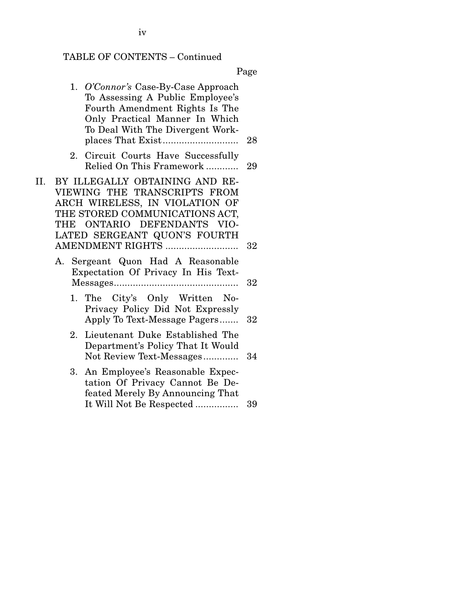## TABLE OF CONTENTS – Continued

|                                                                                                                                                                                                                              | Page   |
|------------------------------------------------------------------------------------------------------------------------------------------------------------------------------------------------------------------------------|--------|
| 1. O'Connor's Case-By-Case Approach<br>To Assessing A Public Employee's<br>Fourth Amendment Rights Is The<br>Only Practical Manner In Which<br>To Deal With The Divergent Work-                                              | 28     |
| Circuit Courts Have Successfully<br>2.<br>Relied On This Framework                                                                                                                                                           | 29     |
| II.<br>BY ILLEGALLY OBTAINING AND RE-<br>VIEWING THE TRANSCRIPTS FROM<br>ARCH WIRELESS, IN VIOLATION OF<br>THE STORED COMMUNICATIONS ACT,<br>THE ONTARIO DEFENDANTS VIO-<br>LATED SERGEANT QUON'S FOURTH<br>AMENDMENT RIGHTS | 32     |
| A. Sergeant Quon Had A Reasonable<br>Expectation Of Privacy In His Text-                                                                                                                                                     | 32     |
| 1. The City's Only Written No-<br>Privacy Policy Did Not Expressly<br>Apply To Text-Message Pagers                                                                                                                           | $32\,$ |
| Lieutenant Duke Established The<br>2.<br>Department's Policy That It Would<br>Not Review Text-Messages                                                                                                                       | 34     |
| An Employee's Reasonable Expec-<br>3.<br>tation Of Privacy Cannot Be De-<br>feated Merely By Announcing That<br>It Will Not Be Respected                                                                                     | 39     |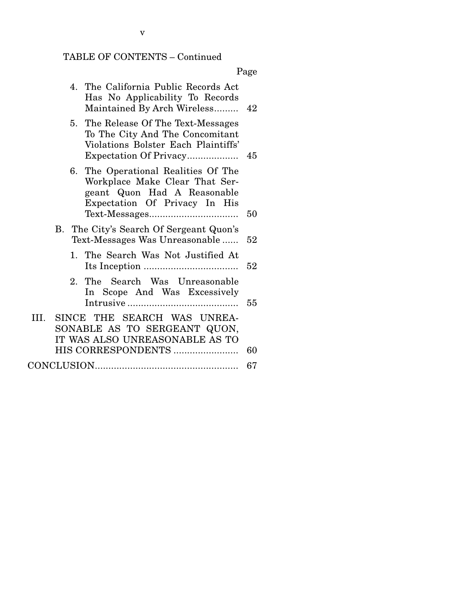# TABLE OF CONTENTS – Continued

Page

| 5. The Release Of The Text-Messages<br>To The City And The Concomitant                                                                      |  |
|---------------------------------------------------------------------------------------------------------------------------------------------|--|
| Violations Bolster Each Plaintiffs'<br>Expectation Of Privacy<br>45                                                                         |  |
| 6. The Operational Realities Of The<br>Workplace Make Clear That Ser-<br>geant Quon Had A Reasonable<br>Expectation Of Privacy In His<br>50 |  |
| B. The City's Search Of Sergeant Quon's<br>Text-Messages Was Unreasonable<br>52                                                             |  |
| 1. The Search Was Not Justified At<br>52                                                                                                    |  |
| The Search Was Unreasonable<br>2.<br>In Scope And Was Excessively<br>55                                                                     |  |
| III. SINCE THE SEARCH WAS UNREA-<br>SONABLE AS TO SERGEANT QUON,                                                                            |  |
| IT WAS ALSO UNREASONABLE AS TO<br>HIS CORRESPONDENTS<br>60                                                                                  |  |

v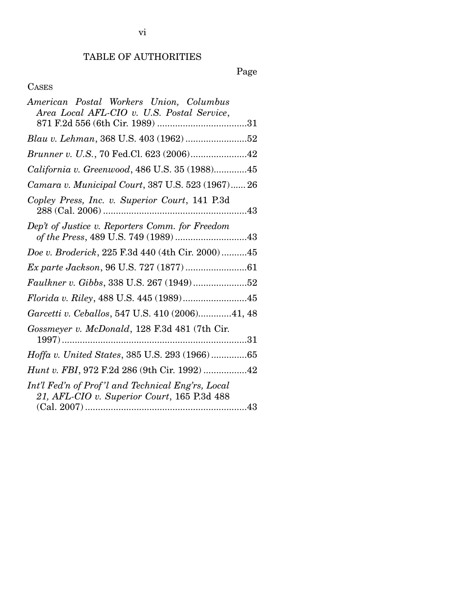## TABLE OF AUTHORITIES

Page

## CASES

| Area Local AFL-CIO v. U.S. Postal Service,                                                       |
|--------------------------------------------------------------------------------------------------|
|                                                                                                  |
|                                                                                                  |
| Brunner v. U.S., 70 Fed.Cl. 623 (2006)42                                                         |
| California v. Greenwood, 486 U.S. 35 (1988)45                                                    |
| Camara v. Municipal Court, 387 U.S. 523 (1967) 26                                                |
| Copley Press, Inc. v. Superior Court, 141 P.3d                                                   |
| Dep't of Justice v. Reporters Comm. for Freedom<br>of the Press, 489 U.S. 749 (1989) 43          |
| Doe v. Broderick, 225 F.3d 440 (4th Cir. 2000)45                                                 |
|                                                                                                  |
| Faulkner v. Gibbs, 338 U.S. 267 (1949)52                                                         |
|                                                                                                  |
| Garcetti v. Ceballos, 547 U.S. 410 (2006)41, 48                                                  |
| Gossmeyer v. McDonald, 128 F.3d 481 (7th Cir.                                                    |
| Hoffa v. United States, 385 U.S. 293 (1966)65                                                    |
| Hunt v. FBI, 972 F.2d 286 (9th Cir. 1992) 42                                                     |
| Int'l Fed'n of Prof'l and Technical Eng'rs, Local<br>21, AFL-CIO v. Superior Court, 165 P.3d 488 |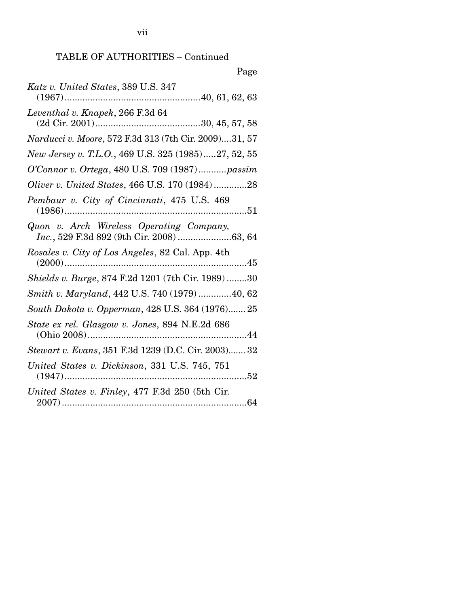vii

## TABLE OF AUTHORITIES – Continued

| Page                                                  |
|-------------------------------------------------------|
| Katz v. United States, 389 U.S. 347                   |
| Leventhal v. Knapek, 266 F.3d 64                      |
| Narducci v. Moore, 572 F.3d 313 (7th Cir. 2009)31, 57 |
| New Jersey v. T.L.O., 469 U.S. 325 (1985)27, 52, 55   |
| O'Connor v. Ortega, 480 U.S. 709 (1987)passim         |
| Oliver v. United States, 466 U.S. 170 (1984)28        |
| Pembaur v. City of Cincinnati, 475 U.S. 469           |
| Quon v. Arch Wireless Operating Company,              |
| Rosales v. City of Los Angeles, 82 Cal. App. 4th      |
| Shields v. Burge, 874 F.2d 1201 (7th Cir. 1989) 30    |
| Smith v. Maryland, 442 U.S. 740 (1979) 40, 62         |
| South Dakota v. Opperman, 428 U.S. 364 (1976) 25      |
| State ex rel. Glasgow v. Jones, 894 N.E.2d 686        |
| Stewart v. Evans, 351 F.3d 1239 (D.C. Cir. 2003) 32   |
| United States v. Dickinson, 331 U.S. 745, 751         |
| United States v. Finley, 477 F.3d 250 (5th Cir.       |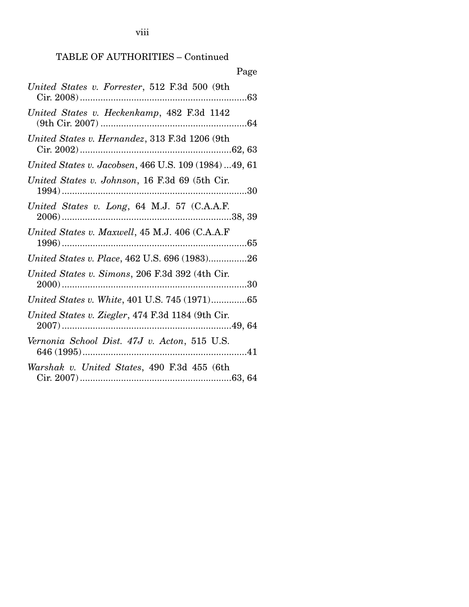viii

## TABLE OF AUTHORITIES – Continued

| Page                                                   |
|--------------------------------------------------------|
| United States v. Forrester, 512 F.3d 500 (9th          |
| United States v. Heckenkamp, 482 F.3d 1142             |
| United States v. Hernandez, 313 F.3d 1206 (9th         |
| United States v. Jacobsen, 466 U.S. 109 (1984)  49, 61 |
| United States v. Johnson, 16 F.3d 69 (5th Cir.         |
| United States v. Long, 64 M.J. 57 (C.A.A.F.            |
| United States v. Maxwell, 45 M.J. 406 (C.A.A.F         |
| United States v. Place, 462 U.S. 696 (1983)26          |
| United States v. Simons, 206 F.3d 392 (4th Cir.        |
| United States v. White, 401 U.S. 745 (1971)65          |
| United States v. Ziegler, 474 F.3d 1184 (9th Cir.      |
| Vernonia School Dist. 47J v. Acton, 515 U.S.           |
| Warshak v. United States, 490 F.3d 455 (6th            |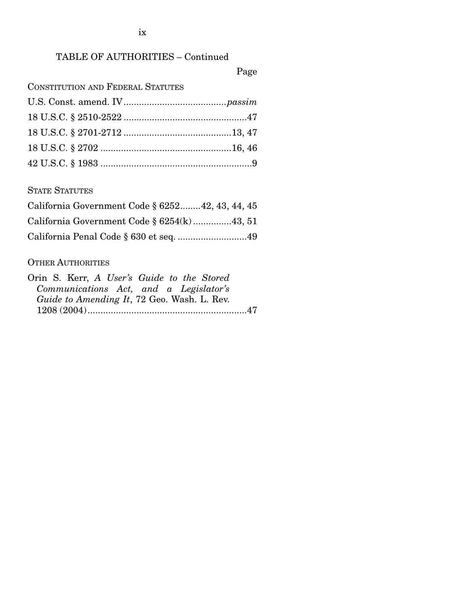ix

## TABLE OF AUTHORITIES – Continued

Page

CONSTITUTION AND FEDERAL STATUTES

STATE STATUTES

| California Government Code § 625242, 43, 44, 45 |
|-------------------------------------------------|
| California Government Code $\S 6254(k)$ 43, 51  |
| California Penal Code § 630 et seq. 49          |

### OTHER AUTHORITIES

| Orin S. Kerr, A User's Guide to the Stored  |  |
|---------------------------------------------|--|
| Communications Act, and a Legislator's      |  |
| Guide to Amending It, 72 Geo. Wash. L. Rev. |  |
|                                             |  |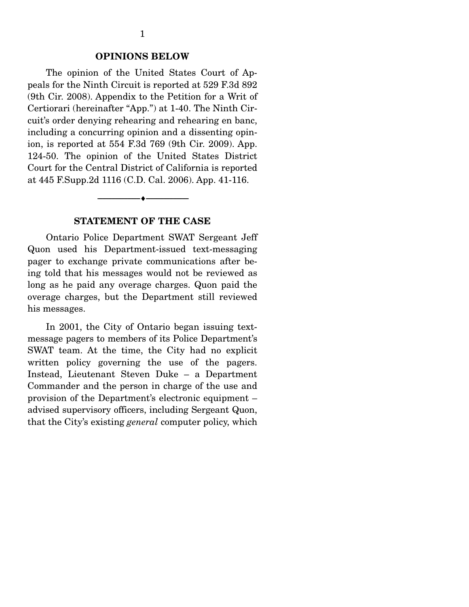#### **OPINIONS BELOW**

The opinion of the United States Court of Appeals for the Ninth Circuit is reported at 529 F.3d 892 (9th Cir. 2008). Appendix to the Petition for a Writ of Certiorari (hereinafter "App.") at 1-40. The Ninth Circuit's order denying rehearing and rehearing en banc, including a concurring opinion and a dissenting opinion, is reported at 554 F.3d 769 (9th Cir. 2009). App. 124-50. The opinion of the United States District Court for the Central District of California is reported at 445 F.Supp.2d 1116 (C.D. Cal. 2006). App. 41-116.

#### **STATEMENT OF THE CASE**

--------------------------------- ♦ ---------------------------------

Ontario Police Department SWAT Sergeant Jeff Quon used his Department-issued text-messaging pager to exchange private communications after being told that his messages would not be reviewed as long as he paid any overage charges. Quon paid the overage charges, but the Department still reviewed his messages.

 In 2001, the City of Ontario began issuing textmessage pagers to members of its Police Department's SWAT team. At the time, the City had no explicit written policy governing the use of the pagers. Instead, Lieutenant Steven Duke – a Department Commander and the person in charge of the use and provision of the Department's electronic equipment – advised supervisory officers, including Sergeant Quon, that the City's existing *general* computer policy, which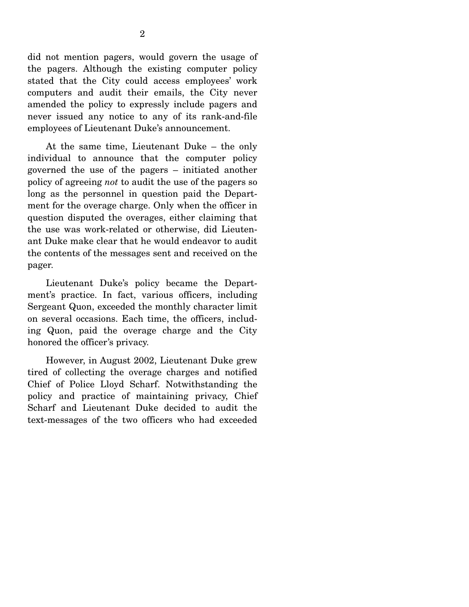did not mention pagers, would govern the usage of the pagers. Although the existing computer policy stated that the City could access employees' work computers and audit their emails, the City never amended the policy to expressly include pagers and never issued any notice to any of its rank-and-file employees of Lieutenant Duke's announcement.

 At the same time, Lieutenant Duke – the only individual to announce that the computer policy governed the use of the pagers – initiated another policy of agreeing *not* to audit the use of the pagers so long as the personnel in question paid the Department for the overage charge. Only when the officer in question disputed the overages, either claiming that the use was work-related or otherwise, did Lieutenant Duke make clear that he would endeavor to audit the contents of the messages sent and received on the pager.

 Lieutenant Duke's policy became the Department's practice. In fact, various officers, including Sergeant Quon, exceeded the monthly character limit on several occasions. Each time, the officers, including Quon, paid the overage charge and the City honored the officer's privacy.

 However, in August 2002, Lieutenant Duke grew tired of collecting the overage charges and notified Chief of Police Lloyd Scharf. Notwithstanding the policy and practice of maintaining privacy, Chief Scharf and Lieutenant Duke decided to audit the text-messages of the two officers who had exceeded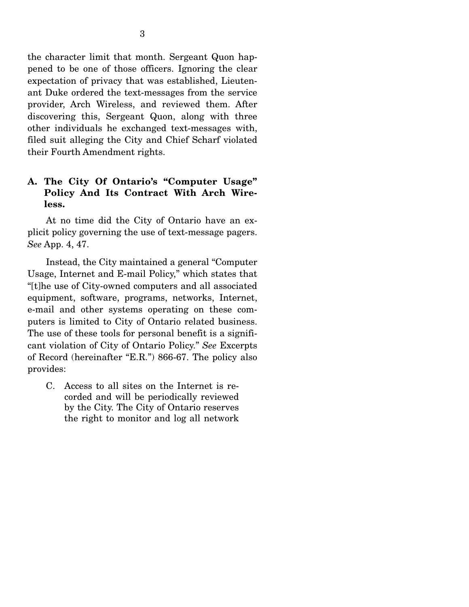the character limit that month. Sergeant Quon happened to be one of those officers. Ignoring the clear expectation of privacy that was established, Lieutenant Duke ordered the text-messages from the service provider, Arch Wireless, and reviewed them. After discovering this, Sergeant Quon, along with three other individuals he exchanged text-messages with, filed suit alleging the City and Chief Scharf violated their Fourth Amendment rights.

## **A. The City Of Ontario's "Computer Usage" Policy And Its Contract With Arch Wireless.**

At no time did the City of Ontario have an explicit policy governing the use of text-message pagers. *See* App. 4, 47.

 Instead, the City maintained a general "Computer Usage, Internet and E-mail Policy," which states that "[t]he use of City-owned computers and all associated equipment, software, programs, networks, Internet, e-mail and other systems operating on these computers is limited to City of Ontario related business. The use of these tools for personal benefit is a significant violation of City of Ontario Policy." *See* Excerpts of Record (hereinafter "E.R.") 866-67. The policy also provides:

C. Access to all sites on the Internet is recorded and will be periodically reviewed by the City. The City of Ontario reserves the right to monitor and log all network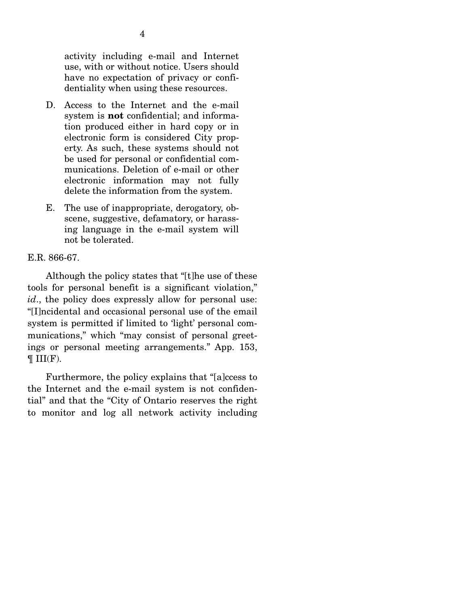activity including e-mail and Internet use, with or without notice. Users should have no expectation of privacy or confidentiality when using these resources.

- D. Access to the Internet and the e-mail system is **not** confidential; and information produced either in hard copy or in electronic form is considered City property. As such, these systems should not be used for personal or confidential communications. Deletion of e-mail or other electronic information may not fully delete the information from the system.
- E. The use of inappropriate, derogatory, obscene, suggestive, defamatory, or harassing language in the e-mail system will not be tolerated.

### E.R. 866-67.

 Although the policy states that "[t]he use of these tools for personal benefit is a significant violation," *id.*, the policy does expressly allow for personal use: "[I]ncidental and occasional personal use of the email system is permitted if limited to 'light' personal communications," which "may consist of personal greetings or personal meeting arrangements." App. 153,  $\P III(F)$ .

 Furthermore, the policy explains that "[a]ccess to the Internet and the e-mail system is not confidential" and that the "City of Ontario reserves the right to monitor and log all network activity including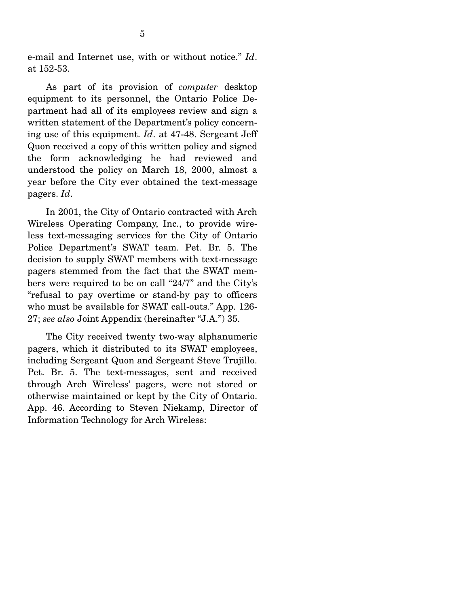e-mail and Internet use, with or without notice." *Id*. at 152-53.

 As part of its provision of *computer* desktop equipment to its personnel, the Ontario Police Department had all of its employees review and sign a written statement of the Department's policy concerning use of this equipment. *Id*. at 47-48. Sergeant Jeff Quon received a copy of this written policy and signed the form acknowledging he had reviewed and understood the policy on March 18, 2000, almost a year before the City ever obtained the text-message pagers. *Id*.

 In 2001, the City of Ontario contracted with Arch Wireless Operating Company, Inc., to provide wireless text-messaging services for the City of Ontario Police Department's SWAT team. Pet. Br. 5. The decision to supply SWAT members with text-message pagers stemmed from the fact that the SWAT members were required to be on call "24/7" and the City's "refusal to pay overtime or stand-by pay to officers who must be available for SWAT call-outs." App. 126- 27; *see also* Joint Appendix (hereinafter "J.A.") 35.

 The City received twenty two-way alphanumeric pagers, which it distributed to its SWAT employees, including Sergeant Quon and Sergeant Steve Trujillo. Pet. Br. 5. The text-messages, sent and received through Arch Wireless' pagers, were not stored or otherwise maintained or kept by the City of Ontario. App. 46. According to Steven Niekamp, Director of Information Technology for Arch Wireless: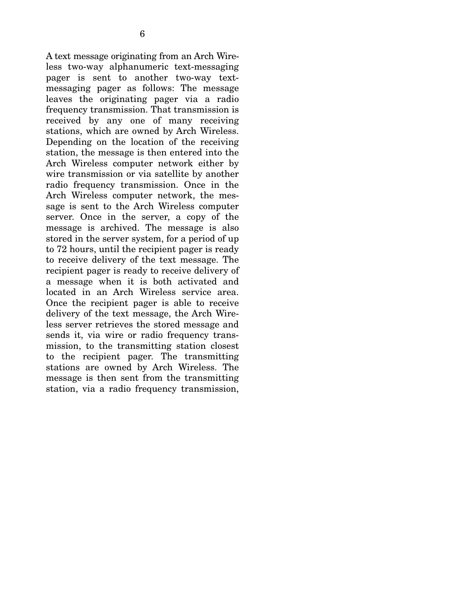A text message originating from an Arch Wireless two-way alphanumeric text-messaging pager is sent to another two-way textmessaging pager as follows: The message leaves the originating pager via a radio frequency transmission. That transmission is received by any one of many receiving stations, which are owned by Arch Wireless. Depending on the location of the receiving station, the message is then entered into the Arch Wireless computer network either by wire transmission or via satellite by another radio frequency transmission. Once in the Arch Wireless computer network, the message is sent to the Arch Wireless computer server. Once in the server, a copy of the message is archived. The message is also stored in the server system, for a period of up to 72 hours, until the recipient pager is ready to receive delivery of the text message. The recipient pager is ready to receive delivery of a message when it is both activated and located in an Arch Wireless service area. Once the recipient pager is able to receive delivery of the text message, the Arch Wireless server retrieves the stored message and sends it, via wire or radio frequency transmission, to the transmitting station closest to the recipient pager. The transmitting stations are owned by Arch Wireless. The message is then sent from the transmitting station, via a radio frequency transmission,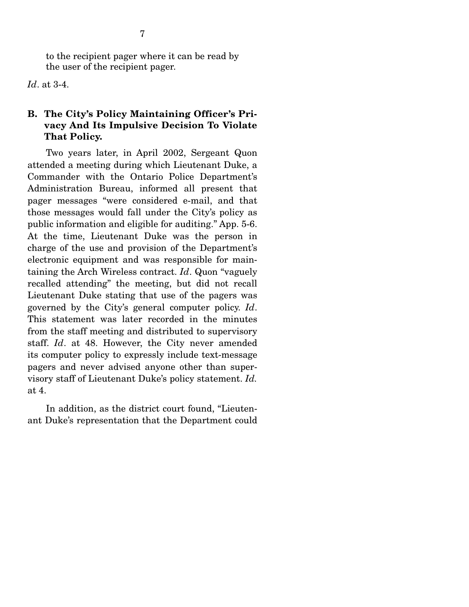to the recipient pager where it can be read by the user of the recipient pager.

*Id*. at 3-4.

## **B. The City's Policy Maintaining Officer's Privacy And Its Impulsive Decision To Violate That Policy.**

Two years later, in April 2002, Sergeant Quon attended a meeting during which Lieutenant Duke, a Commander with the Ontario Police Department's Administration Bureau, informed all present that pager messages "were considered e-mail, and that those messages would fall under the City's policy as public information and eligible for auditing." App. 5-6. At the time, Lieutenant Duke was the person in charge of the use and provision of the Department's electronic equipment and was responsible for maintaining the Arch Wireless contract. *Id*. Quon "vaguely recalled attending" the meeting, but did not recall Lieutenant Duke stating that use of the pagers was governed by the City's general computer policy. *Id*. This statement was later recorded in the minutes from the staff meeting and distributed to supervisory staff. *Id*. at 48. However, the City never amended its computer policy to expressly include text-message pagers and never advised anyone other than supervisory staff of Lieutenant Duke's policy statement. *Id.* at 4.

 In addition, as the district court found, "Lieutenant Duke's representation that the Department could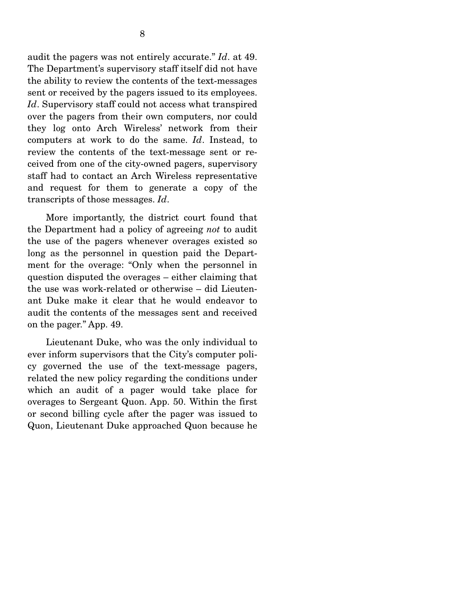audit the pagers was not entirely accurate." *Id*. at 49. The Department's supervisory staff itself did not have the ability to review the contents of the text-messages sent or received by the pagers issued to its employees. *Id*. Supervisory staff could not access what transpired over the pagers from their own computers, nor could they log onto Arch Wireless' network from their computers at work to do the same. *Id*. Instead, to review the contents of the text-message sent or received from one of the city-owned pagers, supervisory staff had to contact an Arch Wireless representative and request for them to generate a copy of the transcripts of those messages. *Id*.

 More importantly, the district court found that the Department had a policy of agreeing *not* to audit the use of the pagers whenever overages existed so long as the personnel in question paid the Department for the overage: "Only when the personnel in question disputed the overages – either claiming that the use was work-related or otherwise – did Lieutenant Duke make it clear that he would endeavor to audit the contents of the messages sent and received on the pager." App. 49.

 Lieutenant Duke, who was the only individual to ever inform supervisors that the City's computer policy governed the use of the text-message pagers, related the new policy regarding the conditions under which an audit of a pager would take place for overages to Sergeant Quon. App. 50. Within the first or second billing cycle after the pager was issued to Quon, Lieutenant Duke approached Quon because he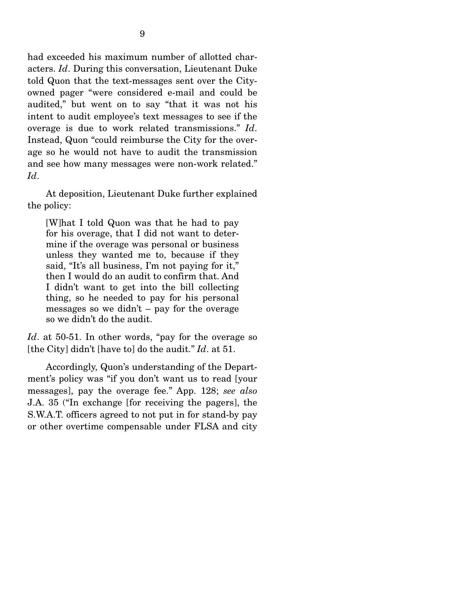had exceeded his maximum number of allotted characters. *Id*. During this conversation, Lieutenant Duke told Quon that the text-messages sent over the Cityowned pager "were considered e-mail and could be audited," but went on to say "that it was not his intent to audit employee's text messages to see if the overage is due to work related transmissions." *Id*. Instead, Quon "could reimburse the City for the overage so he would not have to audit the transmission and see how many messages were non-work related." *Id*.

 At deposition, Lieutenant Duke further explained the policy:

[W]hat I told Quon was that he had to pay for his overage, that I did not want to determine if the overage was personal or business unless they wanted me to, because if they said, "It's all business, I'm not paying for it," then I would do an audit to confirm that. And I didn't want to get into the bill collecting thing, so he needed to pay for his personal messages so we didn't – pay for the overage so we didn't do the audit.

*Id*. at 50-51. In other words, "pay for the overage so [the City] didn't [have to] do the audit." *Id*. at 51.

 Accordingly, Quon's understanding of the Department's policy was "if you don't want us to read [your messages], pay the overage fee." App. 128; *see also*  J.A. 35 ("In exchange [for receiving the pagers], the S.W.A.T. officers agreed to not put in for stand-by pay or other overtime compensable under FLSA and city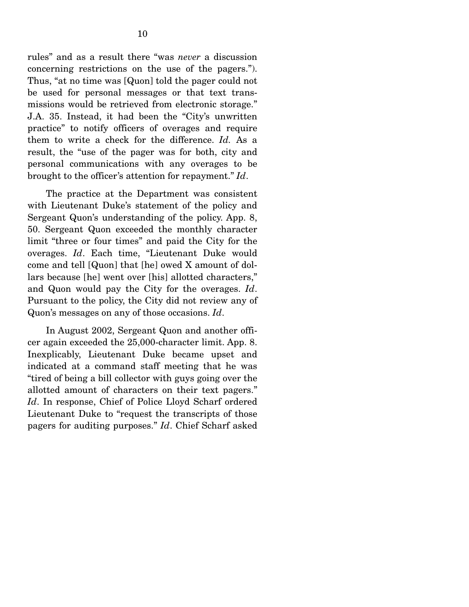rules" and as a result there "was *never* a discussion concerning restrictions on the use of the pagers."). Thus, "at no time was [Quon] told the pager could not be used for personal messages or that text transmissions would be retrieved from electronic storage." J.A. 35. Instead, it had been the "City's unwritten practice" to notify officers of overages and require them to write a check for the difference. *Id.* As a result, the "use of the pager was for both, city and personal communications with any overages to be brought to the officer's attention for repayment." *Id*.

 The practice at the Department was consistent with Lieutenant Duke's statement of the policy and Sergeant Quon's understanding of the policy. App. 8, 50. Sergeant Quon exceeded the monthly character limit "three or four times" and paid the City for the overages. *Id*. Each time, "Lieutenant Duke would come and tell [Quon] that [he] owed X amount of dollars because [he] went over [his] allotted characters," and Quon would pay the City for the overages. *Id*. Pursuant to the policy, the City did not review any of Quon's messages on any of those occasions. *Id*.

 In August 2002, Sergeant Quon and another officer again exceeded the 25,000-character limit. App. 8. Inexplicably, Lieutenant Duke became upset and indicated at a command staff meeting that he was "tired of being a bill collector with guys going over the allotted amount of characters on their text pagers." *Id*. In response, Chief of Police Lloyd Scharf ordered Lieutenant Duke to "request the transcripts of those pagers for auditing purposes." *Id*. Chief Scharf asked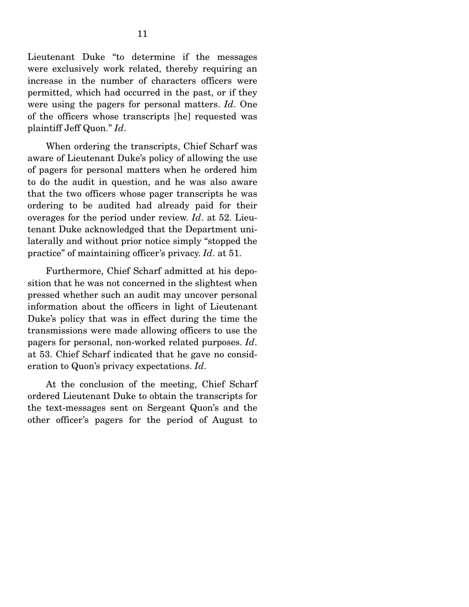Lieutenant Duke "to determine if the messages were exclusively work related, thereby requiring an increase in the number of characters officers were permitted, which had occurred in the past, or if they were using the pagers for personal matters. *Id*. One of the officers whose transcripts [he] requested was plaintiff Jeff Quon." *Id*.

 When ordering the transcripts, Chief Scharf was aware of Lieutenant Duke's policy of allowing the use of pagers for personal matters when he ordered him to do the audit in question, and he was also aware that the two officers whose pager transcripts he was ordering to be audited had already paid for their overages for the period under review. *Id*. at 52. Lieutenant Duke acknowledged that the Department unilaterally and without prior notice simply "stopped the practice" of maintaining officer's privacy. *Id*. at 51.

 Furthermore, Chief Scharf admitted at his deposition that he was not concerned in the slightest when pressed whether such an audit may uncover personal information about the officers in light of Lieutenant Duke's policy that was in effect during the time the transmissions were made allowing officers to use the pagers for personal, non-worked related purposes. *Id*. at 53. Chief Scharf indicated that he gave no consideration to Quon's privacy expectations. *Id*.

 At the conclusion of the meeting, Chief Scharf ordered Lieutenant Duke to obtain the transcripts for the text-messages sent on Sergeant Quon's and the other officer's pagers for the period of August to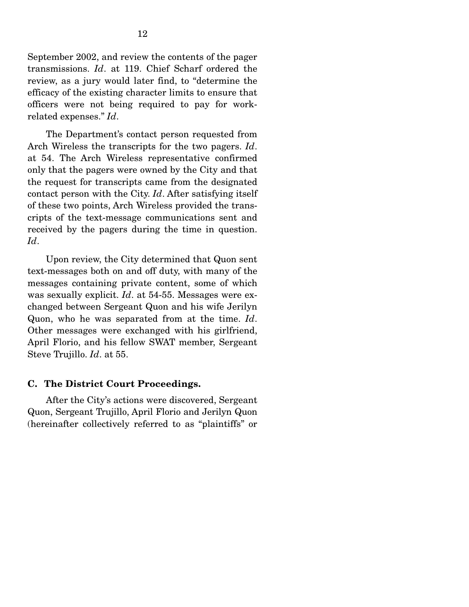September 2002, and review the contents of the pager transmissions. *Id*. at 119. Chief Scharf ordered the review, as a jury would later find, to "determine the efficacy of the existing character limits to ensure that officers were not being required to pay for workrelated expenses." *Id*.

 The Department's contact person requested from Arch Wireless the transcripts for the two pagers. *Id*. at 54. The Arch Wireless representative confirmed only that the pagers were owned by the City and that the request for transcripts came from the designated contact person with the City. *Id*. After satisfying itself of these two points, Arch Wireless provided the transcripts of the text-message communications sent and received by the pagers during the time in question. *Id*.

 Upon review, the City determined that Quon sent text-messages both on and off duty, with many of the messages containing private content, some of which was sexually explicit. *Id*. at 54-55. Messages were exchanged between Sergeant Quon and his wife Jerilyn Quon, who he was separated from at the time. *Id*. Other messages were exchanged with his girlfriend, April Florio, and his fellow SWAT member, Sergeant Steve Trujillo. *Id*. at 55.

### **C. The District Court Proceedings.**

After the City's actions were discovered, Sergeant Quon, Sergeant Trujillo, April Florio and Jerilyn Quon (hereinafter collectively referred to as "plaintiffs" or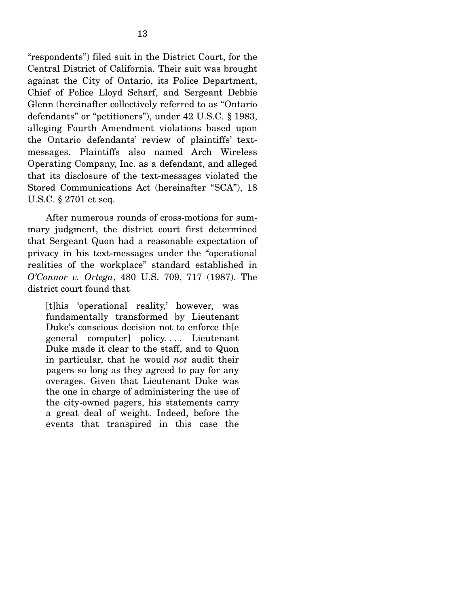"respondents") filed suit in the District Court, for the Central District of California. Their suit was brought against the City of Ontario, its Police Department, Chief of Police Lloyd Scharf, and Sergeant Debbie Glenn (hereinafter collectively referred to as "Ontario defendants" or "petitioners"), under 42 U.S.C. § 1983, alleging Fourth Amendment violations based upon the Ontario defendants' review of plaintiffs' textmessages. Plaintiffs also named Arch Wireless Operating Company, Inc. as a defendant, and alleged that its disclosure of the text-messages violated the Stored Communications Act (hereinafter "SCA"), 18 U.S.C. § 2701 et seq.

 After numerous rounds of cross-motions for summary judgment, the district court first determined that Sergeant Quon had a reasonable expectation of privacy in his text-messages under the "operational realities of the workplace" standard established in *O'Connor v. Ortega*, 480 U.S. 709, 717 (1987). The district court found that

[t]his 'operational reality,' however, was fundamentally transformed by Lieutenant Duke's conscious decision not to enforce th[e general computer] policy. . . . Lieutenant Duke made it clear to the staff, and to Quon in particular, that he would *not* audit their pagers so long as they agreed to pay for any overages. Given that Lieutenant Duke was the one in charge of administering the use of the city-owned pagers, his statements carry a great deal of weight. Indeed, before the events that transpired in this case the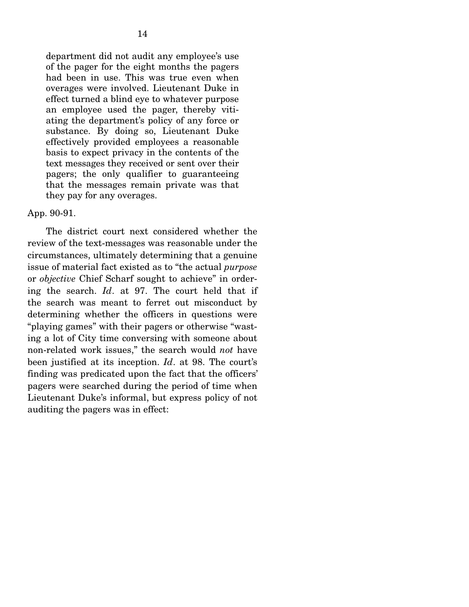department did not audit any employee's use of the pager for the eight months the pagers had been in use. This was true even when overages were involved. Lieutenant Duke in effect turned a blind eye to whatever purpose an employee used the pager, thereby vitiating the department's policy of any force or substance. By doing so, Lieutenant Duke effectively provided employees a reasonable basis to expect privacy in the contents of the text messages they received or sent over their pagers; the only qualifier to guaranteeing that the messages remain private was that they pay for any overages.

### App. 90-91.

 The district court next considered whether the review of the text-messages was reasonable under the circumstances, ultimately determining that a genuine issue of material fact existed as to "the actual *purpose* or *objective* Chief Scharf sought to achieve" in ordering the search. *Id*. at 97. The court held that if the search was meant to ferret out misconduct by determining whether the officers in questions were "playing games" with their pagers or otherwise "wasting a lot of City time conversing with someone about non-related work issues," the search would *not* have been justified at its inception. *Id*. at 98. The court's finding was predicated upon the fact that the officers' pagers were searched during the period of time when Lieutenant Duke's informal, but express policy of not auditing the pagers was in effect: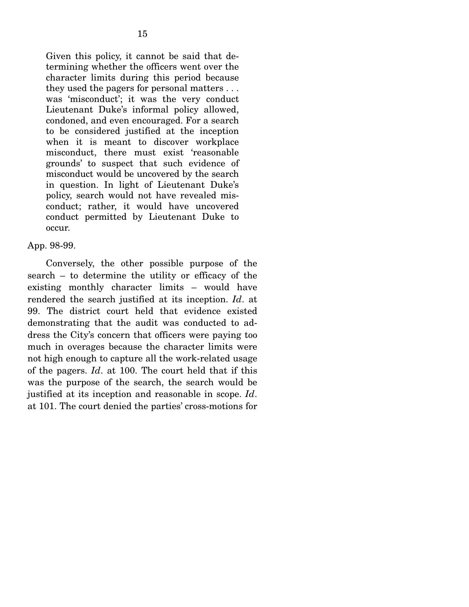Given this policy, it cannot be said that determining whether the officers went over the character limits during this period because they used the pagers for personal matters . . . was 'misconduct'; it was the very conduct Lieutenant Duke's informal policy allowed, condoned, and even encouraged. For a search to be considered justified at the inception when it is meant to discover workplace misconduct, there must exist 'reasonable grounds' to suspect that such evidence of misconduct would be uncovered by the search in question. In light of Lieutenant Duke's policy, search would not have revealed misconduct; rather, it would have uncovered conduct permitted by Lieutenant Duke to occur.

### App. 98-99.

 Conversely, the other possible purpose of the search – to determine the utility or efficacy of the existing monthly character limits – would have rendered the search justified at its inception. *Id*. at 99. The district court held that evidence existed demonstrating that the audit was conducted to address the City's concern that officers were paying too much in overages because the character limits were not high enough to capture all the work-related usage of the pagers. *Id*. at 100. The court held that if this was the purpose of the search, the search would be justified at its inception and reasonable in scope. *Id*. at 101. The court denied the parties' cross-motions for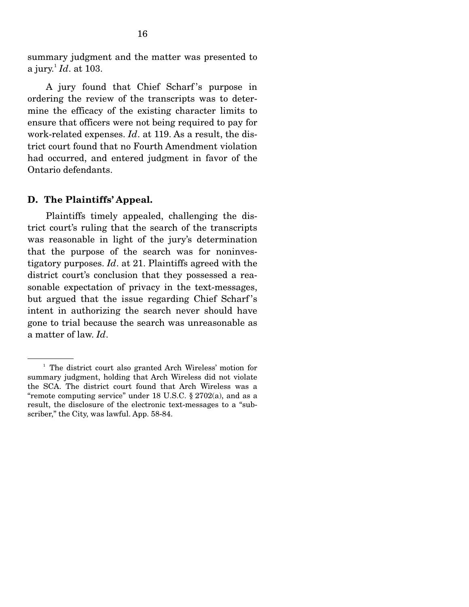summary judgment and the matter was presented to a jury.<sup>1</sup> *Id*. at 103.

 A jury found that Chief Scharf 's purpose in ordering the review of the transcripts was to determine the efficacy of the existing character limits to ensure that officers were not being required to pay for work-related expenses. *Id*. at 119. As a result, the district court found that no Fourth Amendment violation had occurred, and entered judgment in favor of the Ontario defendants.

#### **D. The Plaintiffs' Appeal.**

Plaintiffs timely appealed, challenging the district court's ruling that the search of the transcripts was reasonable in light of the jury's determination that the purpose of the search was for noninvestigatory purposes. *Id*. at 21. Plaintiffs agreed with the district court's conclusion that they possessed a reasonable expectation of privacy in the text-messages, but argued that the issue regarding Chief Scharf 's intent in authorizing the search never should have gone to trial because the search was unreasonable as a matter of law. *Id*.

<sup>&</sup>lt;sup>1</sup> The district court also granted Arch Wireless' motion for summary judgment, holding that Arch Wireless did not violate the SCA. The district court found that Arch Wireless was a "remote computing service" under 18 U.S.C. § 2702(a), and as a result, the disclosure of the electronic text-messages to a "subscriber," the City, was lawful. App. 58-84.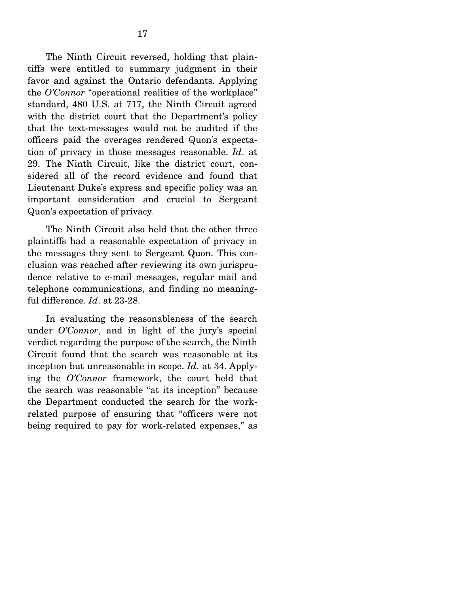The Ninth Circuit reversed, holding that plaintiffs were entitled to summary judgment in their favor and against the Ontario defendants. Applying the *O'Connor* "operational realities of the workplace" standard, 480 U.S. at 717, the Ninth Circuit agreed with the district court that the Department's policy that the text-messages would not be audited if the officers paid the overages rendered Quon's expectation of privacy in those messages reasonable. *Id*. at 29. The Ninth Circuit, like the district court, considered all of the record evidence and found that Lieutenant Duke's express and specific policy was an important consideration and crucial to Sergeant Quon's expectation of privacy.

 The Ninth Circuit also held that the other three plaintiffs had a reasonable expectation of privacy in the messages they sent to Sergeant Quon. This conclusion was reached after reviewing its own jurisprudence relative to e-mail messages, regular mail and telephone communications, and finding no meaningful difference. *Id*. at 23-28.

 In evaluating the reasonableness of the search under *O'Connor*, and in light of the jury's special verdict regarding the purpose of the search, the Ninth Circuit found that the search was reasonable at its inception but unreasonable in scope. *Id*. at 34. Applying the *O'Connor* framework, the court held that the search was reasonable "at its inception" because the Department conducted the search for the workrelated purpose of ensuring that "officers were not being required to pay for work-related expenses," as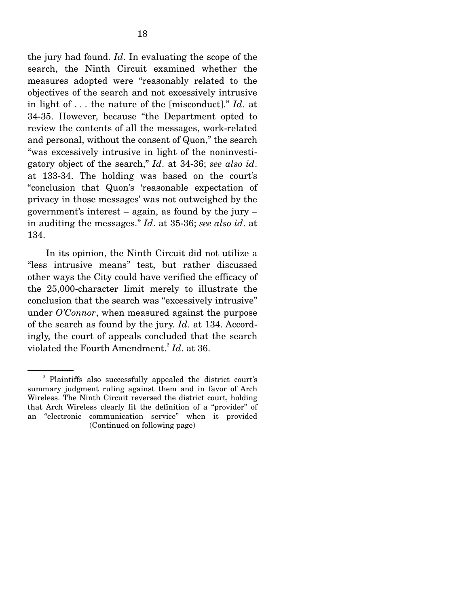the jury had found. *Id*. In evaluating the scope of the search, the Ninth Circuit examined whether the measures adopted were "reasonably related to the objectives of the search and not excessively intrusive in light of . . . the nature of the [misconduct]." *Id*. at 34-35. However, because "the Department opted to review the contents of all the messages, work-related and personal, without the consent of Quon," the search "was excessively intrusive in light of the noninvestigatory object of the search," *Id*. at 34-36; *see also id*. at 133-34. The holding was based on the court's "conclusion that Quon's 'reasonable expectation of privacy in those messages' was not outweighed by the government's interest – again, as found by the jury – in auditing the messages." *Id*. at 35-36; *see also id*. at 134.

 In its opinion, the Ninth Circuit did not utilize a "less intrusive means" test, but rather discussed other ways the City could have verified the efficacy of the 25,000-character limit merely to illustrate the conclusion that the search was "excessively intrusive" under *O'Connor*, when measured against the purpose of the search as found by the jury. *Id*. at 134. Accordingly, the court of appeals concluded that the search violated the Fourth Amendment.<sup>2</sup> *Id*. at 36.

<sup>2</sup> Plaintiffs also successfully appealed the district court's summary judgment ruling against them and in favor of Arch Wireless. The Ninth Circuit reversed the district court, holding that Arch Wireless clearly fit the definition of a "provider" of an "electronic communication service" when it provided (Continued on following page)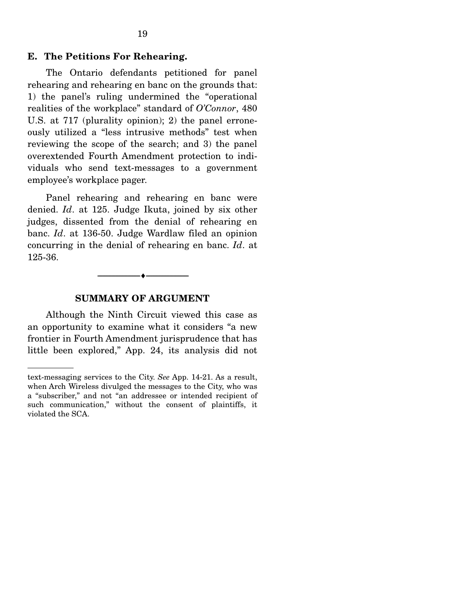### **E. The Petitions For Rehearing.**

The Ontario defendants petitioned for panel rehearing and rehearing en banc on the grounds that: 1) the panel's ruling undermined the "operational realities of the workplace" standard of *O'Connor*, 480 U.S. at 717 (plurality opinion); 2) the panel erroneously utilized a "less intrusive methods" test when reviewing the scope of the search; and 3) the panel overextended Fourth Amendment protection to individuals who send text-messages to a government employee's workplace pager.

 Panel rehearing and rehearing en banc were denied. *Id*. at 125. Judge Ikuta, joined by six other judges, dissented from the denial of rehearing en banc. *Id*. at 136-50. Judge Wardlaw filed an opinion concurring in the denial of rehearing en banc. *Id*. at 125-36.

# --------------------------------- ♦ ---------------------------------

#### **SUMMARY OF ARGUMENT**

Although the Ninth Circuit viewed this case as an opportunity to examine what it considers "a new frontier in Fourth Amendment jurisprudence that has little been explored," App. 24, its analysis did not

text-messaging services to the City. *See* App. 14-21. As a result, when Arch Wireless divulged the messages to the City, who was a "subscriber," and not "an addressee or intended recipient of such communication," without the consent of plaintiffs, it violated the SCA.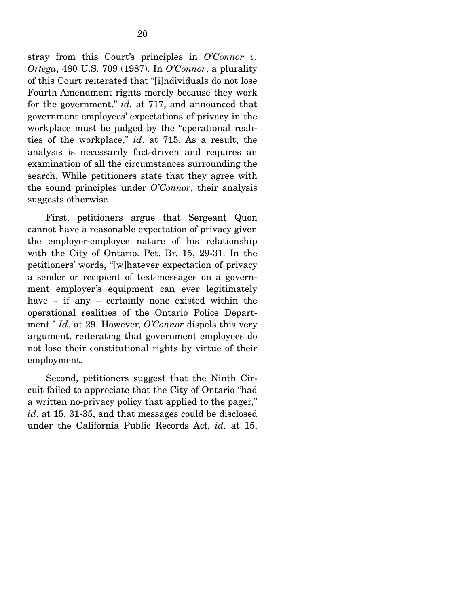stray from this Court's principles in *O'Connor v. Ortega*, 480 U.S. 709 (1987). In *O'Connor*, a plurality of this Court reiterated that "[i]ndividuals do not lose Fourth Amendment rights merely because they work for the government," *id.* at 717, and announced that government employees' expectations of privacy in the workplace must be judged by the "operational realities of the workplace," *id*. at 715. As a result, the analysis is necessarily fact-driven and requires an examination of all the circumstances surrounding the search. While petitioners state that they agree with the sound principles under *O'Connor*, their analysis suggests otherwise.

 First, petitioners argue that Sergeant Quon cannot have a reasonable expectation of privacy given the employer-employee nature of his relationship with the City of Ontario. Pet. Br. 15, 29-31. In the petitioners' words, "[w]hatever expectation of privacy a sender or recipient of text-messages on a government employer's equipment can ever legitimately have – if any – certainly none existed within the operational realities of the Ontario Police Department." *Id*. at 29. However, *O'Connor* dispels this very argument, reiterating that government employees do not lose their constitutional rights by virtue of their employment.

 Second, petitioners suggest that the Ninth Circuit failed to appreciate that the City of Ontario "had a written no-privacy policy that applied to the pager," *id*. at 15, 31-35, and that messages could be disclosed under the California Public Records Act, *id*. at 15,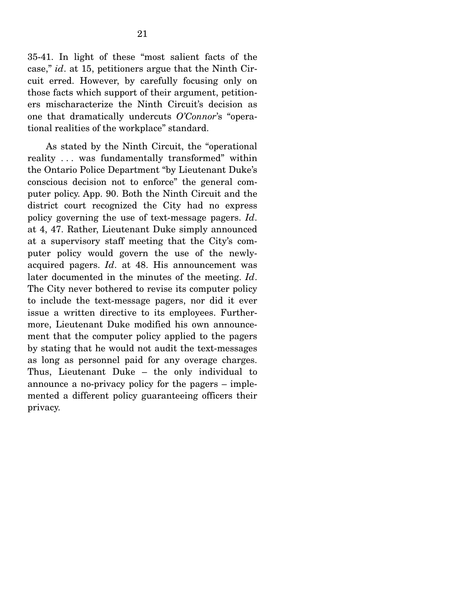35-41. In light of these "most salient facts of the case," *id*. at 15, petitioners argue that the Ninth Circuit erred. However, by carefully focusing only on those facts which support of their argument, petitioners mischaracterize the Ninth Circuit's decision as one that dramatically undercuts *O'Connor*'s "operational realities of the workplace" standard.

 As stated by the Ninth Circuit, the "operational reality . . . was fundamentally transformed" within the Ontario Police Department "by Lieutenant Duke's conscious decision not to enforce" the general computer policy. App. 90. Both the Ninth Circuit and the district court recognized the City had no express policy governing the use of text-message pagers. *Id*. at 4, 47. Rather, Lieutenant Duke simply announced at a supervisory staff meeting that the City's computer policy would govern the use of the newlyacquired pagers. *Id*. at 48. His announcement was later documented in the minutes of the meeting. *Id*. The City never bothered to revise its computer policy to include the text-message pagers, nor did it ever issue a written directive to its employees. Furthermore, Lieutenant Duke modified his own announcement that the computer policy applied to the pagers by stating that he would not audit the text-messages as long as personnel paid for any overage charges. Thus, Lieutenant Duke – the only individual to announce a no-privacy policy for the pagers – implemented a different policy guaranteeing officers their privacy.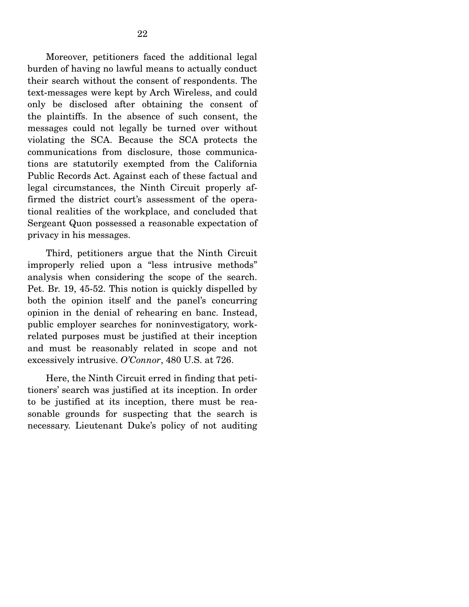Moreover, petitioners faced the additional legal burden of having no lawful means to actually conduct their search without the consent of respondents. The text-messages were kept by Arch Wireless, and could only be disclosed after obtaining the consent of the plaintiffs. In the absence of such consent, the messages could not legally be turned over without violating the SCA. Because the SCA protects the communications from disclosure, those communications are statutorily exempted from the California Public Records Act. Against each of these factual and legal circumstances, the Ninth Circuit properly affirmed the district court's assessment of the operational realities of the workplace, and concluded that Sergeant Quon possessed a reasonable expectation of privacy in his messages.

 Third, petitioners argue that the Ninth Circuit improperly relied upon a "less intrusive methods" analysis when considering the scope of the search. Pet. Br. 19, 45-52. This notion is quickly dispelled by both the opinion itself and the panel's concurring opinion in the denial of rehearing en banc. Instead, public employer searches for noninvestigatory, workrelated purposes must be justified at their inception and must be reasonably related in scope and not excessively intrusive. *O'Connor*, 480 U.S. at 726.

 Here, the Ninth Circuit erred in finding that petitioners' search was justified at its inception. In order to be justified at its inception, there must be reasonable grounds for suspecting that the search is necessary. Lieutenant Duke's policy of not auditing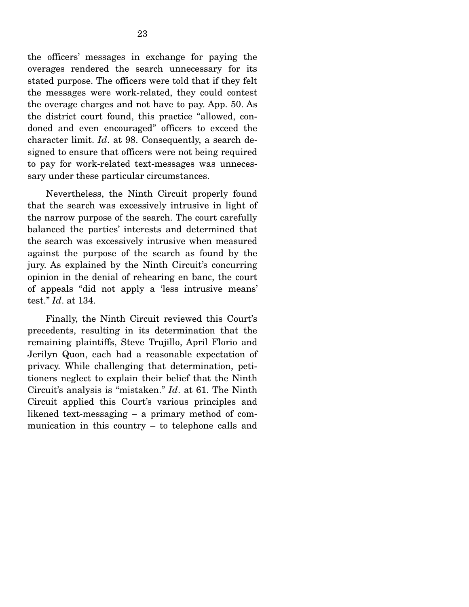the officers' messages in exchange for paying the overages rendered the search unnecessary for its stated purpose. The officers were told that if they felt the messages were work-related, they could contest the overage charges and not have to pay. App. 50. As the district court found, this practice "allowed, condoned and even encouraged" officers to exceed the character limit. *Id*. at 98. Consequently, a search designed to ensure that officers were not being required to pay for work-related text-messages was unnecessary under these particular circumstances.

 Nevertheless, the Ninth Circuit properly found that the search was excessively intrusive in light of the narrow purpose of the search. The court carefully balanced the parties' interests and determined that the search was excessively intrusive when measured against the purpose of the search as found by the jury. As explained by the Ninth Circuit's concurring opinion in the denial of rehearing en banc, the court of appeals "did not apply a 'less intrusive means' test." *Id*. at 134.

 Finally, the Ninth Circuit reviewed this Court's precedents, resulting in its determination that the remaining plaintiffs, Steve Trujillo, April Florio and Jerilyn Quon, each had a reasonable expectation of privacy. While challenging that determination, petitioners neglect to explain their belief that the Ninth Circuit's analysis is "mistaken." *Id*. at 61. The Ninth Circuit applied this Court's various principles and likened text-messaging – a primary method of communication in this country – to telephone calls and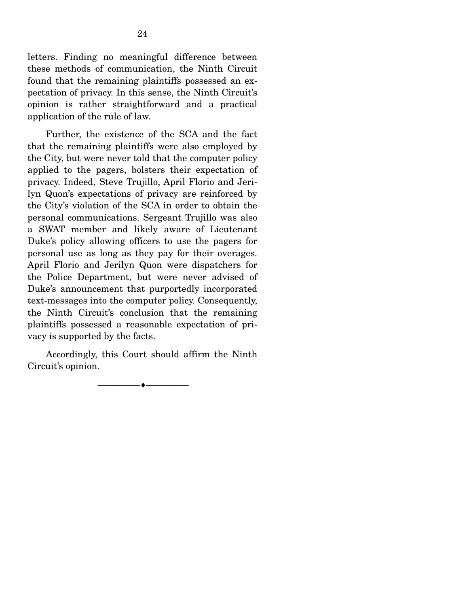letters. Finding no meaningful difference between these methods of communication, the Ninth Circuit found that the remaining plaintiffs possessed an expectation of privacy. In this sense, the Ninth Circuit's opinion is rather straightforward and a practical application of the rule of law.

 Further, the existence of the SCA and the fact that the remaining plaintiffs were also employed by the City, but were never told that the computer policy applied to the pagers, bolsters their expectation of privacy. Indeed, Steve Trujillo, April Florio and Jerilyn Quon's expectations of privacy are reinforced by the City's violation of the SCA in order to obtain the personal communications. Sergeant Trujillo was also a SWAT member and likely aware of Lieutenant Duke's policy allowing officers to use the pagers for personal use as long as they pay for their overages. April Florio and Jerilyn Quon were dispatchers for the Police Department, but were never advised of Duke's announcement that purportedly incorporated text-messages into the computer policy. Consequently, the Ninth Circuit's conclusion that the remaining plaintiffs possessed a reasonable expectation of privacy is supported by the facts.

 Accordingly, this Court should affirm the Ninth Circuit's opinion.

--------------------------------- ♦ ---------------------------------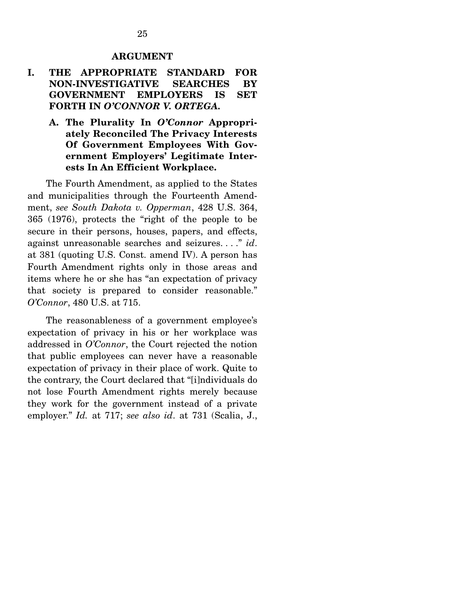#### **ARGUMENT**

## **I. THE APPROPRIATE STANDARD FOR NON-INVESTIGATIVE SEARCHES BY GOVERNMENT EMPLOYERS IS SET FORTH IN** *O'CONNOR V. ORTEGA.*

**A. The Plurality In** *O'Connor* **Appropriately Reconciled The Privacy Interests Of Government Employees With Government Employers' Legitimate Interests In An Efficient Workplace.** 

The Fourth Amendment, as applied to the States and municipalities through the Fourteenth Amendment, *see South Dakota v. Opperman*, 428 U.S. 364, 365 (1976), protects the "right of the people to be secure in their persons, houses, papers, and effects, against unreasonable searches and seizures. . . ." *id*. at 381 (quoting U.S. Const. amend IV). A person has Fourth Amendment rights only in those areas and items where he or she has "an expectation of privacy that society is prepared to consider reasonable." *O'Connor*, 480 U.S. at 715.

 The reasonableness of a government employee's expectation of privacy in his or her workplace was addressed in *O'Connor*, the Court rejected the notion that public employees can never have a reasonable expectation of privacy in their place of work. Quite to the contrary, the Court declared that "[i]ndividuals do not lose Fourth Amendment rights merely because they work for the government instead of a private employer." *Id.* at 717; *see also id*. at 731 (Scalia, J.,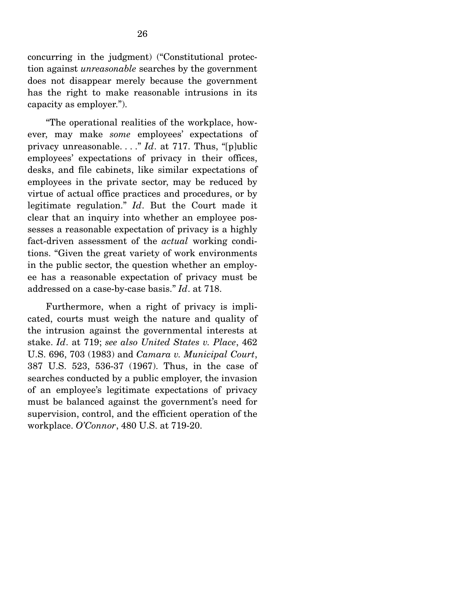concurring in the judgment) ("Constitutional protection against *unreasonable* searches by the government does not disappear merely because the government has the right to make reasonable intrusions in its capacity as employer.").

 "The operational realities of the workplace, however, may make *some* employees' expectations of privacy unreasonable. . . ." *Id*. at 717. Thus, "[p]ublic employees' expectations of privacy in their offices, desks, and file cabinets, like similar expectations of employees in the private sector, may be reduced by virtue of actual office practices and procedures, or by legitimate regulation." *Id*. But the Court made it clear that an inquiry into whether an employee possesses a reasonable expectation of privacy is a highly fact-driven assessment of the *actual* working conditions. "Given the great variety of work environments in the public sector, the question whether an employee has a reasonable expectation of privacy must be addressed on a case-by-case basis." *Id*. at 718.

 Furthermore, when a right of privacy is implicated, courts must weigh the nature and quality of the intrusion against the governmental interests at stake. *Id*. at 719; *see also United States v. Place*, 462 U.S. 696, 703 (1983) and *Camara v. Municipal Court*, 387 U.S. 523, 536-37 (1967). Thus, in the case of searches conducted by a public employer, the invasion of an employee's legitimate expectations of privacy must be balanced against the government's need for supervision, control, and the efficient operation of the workplace. *O'Connor*, 480 U.S. at 719-20.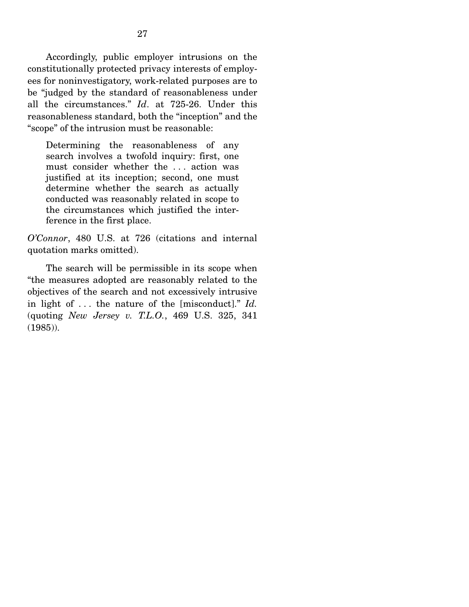Accordingly, public employer intrusions on the constitutionally protected privacy interests of employees for noninvestigatory, work-related purposes are to be "judged by the standard of reasonableness under all the circumstances." *Id*. at 725-26. Under this reasonableness standard, both the "inception" and the "scope" of the intrusion must be reasonable:

Determining the reasonableness of any search involves a twofold inquiry: first, one must consider whether the . . . action was justified at its inception; second, one must determine whether the search as actually conducted was reasonably related in scope to the circumstances which justified the interference in the first place.

*O'Connor*, 480 U.S. at 726 (citations and internal quotation marks omitted).

 The search will be permissible in its scope when "the measures adopted are reasonably related to the objectives of the search and not excessively intrusive in light of . . . the nature of the [misconduct]." *Id.*  (quoting *New Jersey v. T.L.O.*, 469 U.S. 325, 341 (1985)).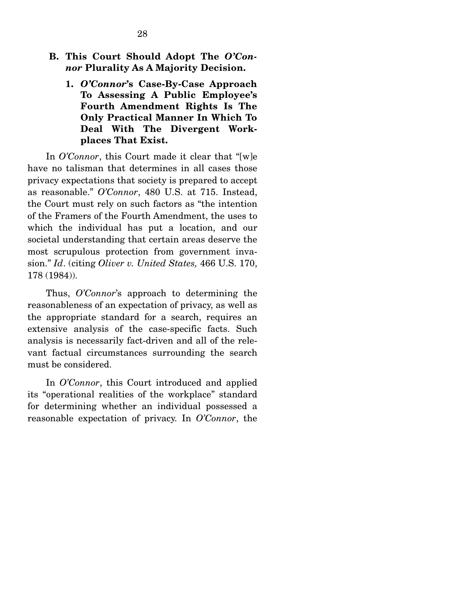- **B. This Court Should Adopt The** *O'Connor* **Plurality As A Majority Decision.** 
	- **1.** *O'Connor***'s Case-By-Case Approach To Assessing A Public Employee's Fourth Amendment Rights Is The Only Practical Manner In Which To Deal With The Divergent Workplaces That Exist.**

In *O'Connor*, this Court made it clear that "[w]e have no talisman that determines in all cases those privacy expectations that society is prepared to accept as reasonable." *O'Connor*, 480 U.S. at 715. Instead, the Court must rely on such factors as "the intention of the Framers of the Fourth Amendment, the uses to which the individual has put a location, and our societal understanding that certain areas deserve the most scrupulous protection from government invasion." *Id*. (citing *Oliver v. United States,* 466 U.S. 170, 178 (1984)).

 Thus, *O'Connor*'s approach to determining the reasonableness of an expectation of privacy, as well as the appropriate standard for a search, requires an extensive analysis of the case-specific facts. Such analysis is necessarily fact-driven and all of the relevant factual circumstances surrounding the search must be considered.

 In *O'Connor*, this Court introduced and applied its "operational realities of the workplace" standard for determining whether an individual possessed a reasonable expectation of privacy. In *O'Connor*, the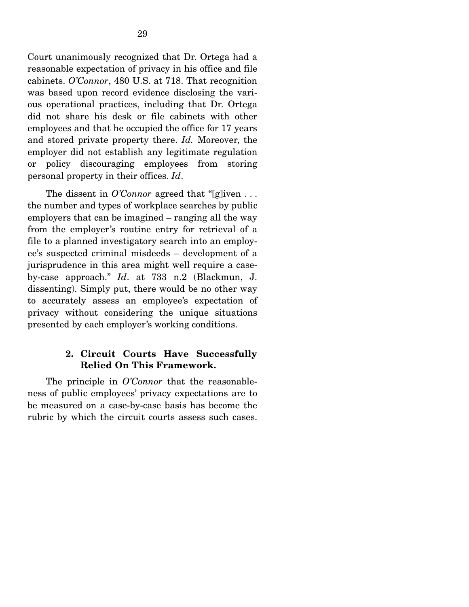Court unanimously recognized that Dr. Ortega had a reasonable expectation of privacy in his office and file cabinets. *O'Connor*, 480 U.S. at 718. That recognition was based upon record evidence disclosing the various operational practices, including that Dr. Ortega did not share his desk or file cabinets with other employees and that he occupied the office for 17 years and stored private property there. *Id.* Moreover, the employer did not establish any legitimate regulation or policy discouraging employees from storing personal property in their offices. *Id*.

 The dissent in *O'Connor* agreed that "[g]iven . . . the number and types of workplace searches by public employers that can be imagined – ranging all the way from the employer's routine entry for retrieval of a file to a planned investigatory search into an employee's suspected criminal misdeeds – development of a jurisprudence in this area might well require a caseby-case approach." *Id*. at 733 n.2 (Blackmun, J. dissenting). Simply put, there would be no other way to accurately assess an employee's expectation of privacy without considering the unique situations presented by each employer's working conditions.

## **2. Circuit Courts Have Successfully Relied On This Framework.**

The principle in *O'Connor* that the reasonableness of public employees' privacy expectations are to be measured on a case-by-case basis has become the rubric by which the circuit courts assess such cases.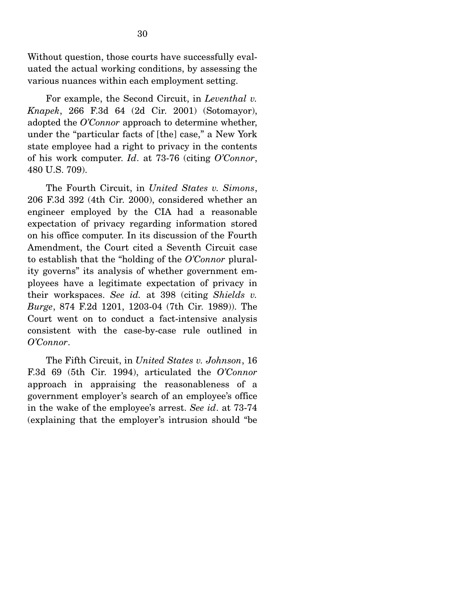Without question, those courts have successfully evaluated the actual working conditions, by assessing the various nuances within each employment setting.

 For example, the Second Circuit, in *Leventhal v. Knapek*, 266 F.3d 64 (2d Cir. 2001) (Sotomayor), adopted the *O'Connor* approach to determine whether, under the "particular facts of [the] case," a New York state employee had a right to privacy in the contents of his work computer. *Id*. at 73-76 (citing *O'Connor*, 480 U.S. 709).

 The Fourth Circuit, in *United States v. Simons*, 206 F.3d 392 (4th Cir. 2000), considered whether an engineer employed by the CIA had a reasonable expectation of privacy regarding information stored on his office computer. In its discussion of the Fourth Amendment, the Court cited a Seventh Circuit case to establish that the "holding of the *O'Connor* plurality governs" its analysis of whether government employees have a legitimate expectation of privacy in their workspaces. *See id.* at 398 (citing *Shields v. Burge*, 874 F.2d 1201, 1203-04 (7th Cir. 1989)). The Court went on to conduct a fact-intensive analysis consistent with the case-by-case rule outlined in *O'Connor*.

 The Fifth Circuit, in *United States v. Johnson*, 16 F.3d 69 (5th Cir. 1994), articulated the *O'Connor* approach in appraising the reasonableness of a government employer's search of an employee's office in the wake of the employee's arrest. *See id*. at 73-74 (explaining that the employer's intrusion should "be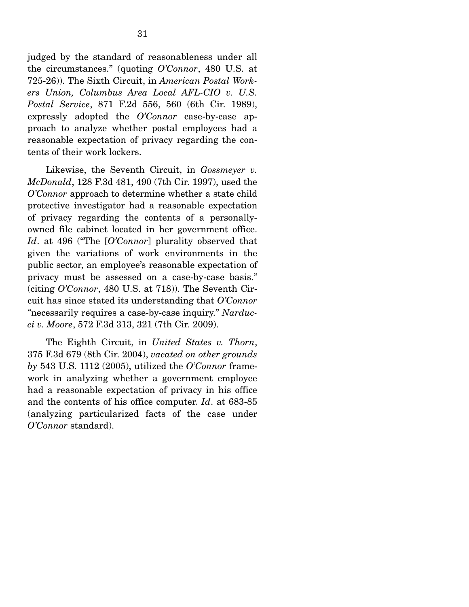judged by the standard of reasonableness under all the circumstances." (quoting *O'Connor*, 480 U.S. at 725-26)). The Sixth Circuit, in *American Postal Workers Union, Columbus Area Local AFL-CIO v. U.S. Postal Service*, 871 F.2d 556, 560 (6th Cir. 1989), expressly adopted the *O'Connor* case-by-case approach to analyze whether postal employees had a reasonable expectation of privacy regarding the contents of their work lockers.

 Likewise, the Seventh Circuit, in *Gossmeyer v. McDonald*, 128 F.3d 481, 490 (7th Cir. 1997), used the *O'Connor* approach to determine whether a state child protective investigator had a reasonable expectation of privacy regarding the contents of a personallyowned file cabinet located in her government office. *Id*. at 496 ("The [*O'Connor*] plurality observed that given the variations of work environments in the public sector, an employee's reasonable expectation of privacy must be assessed on a case-by-case basis." (citing *O'Connor*, 480 U.S. at 718)). The Seventh Circuit has since stated its understanding that *O'Connor "*necessarily requires a case-by-case inquiry." *Narducci v. Moore*, 572 F.3d 313, 321 (7th Cir. 2009).

 The Eighth Circuit, in *United States v. Thorn*, 375 F.3d 679 (8th Cir. 2004), *vacated on other grounds by* 543 U.S. 1112 (2005), utilized the *O'Connor* framework in analyzing whether a government employee had a reasonable expectation of privacy in his office and the contents of his office computer. *Id*. at 683-85 (analyzing particularized facts of the case under *O'Connor* standard).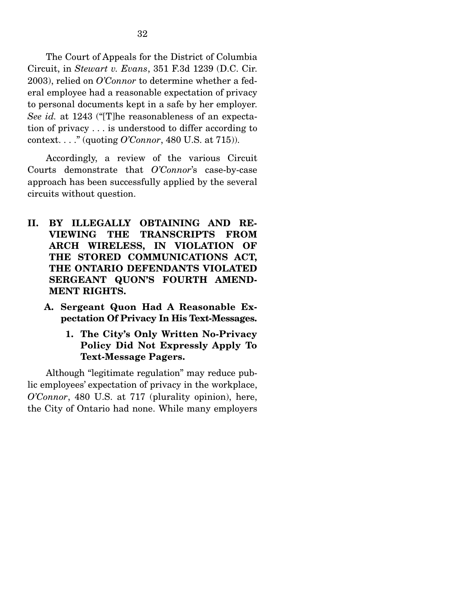The Court of Appeals for the District of Columbia Circuit, in *Stewart v. Evans*, 351 F.3d 1239 (D.C. Cir. 2003), relied on *O'Connor* to determine whether a federal employee had a reasonable expectation of privacy to personal documents kept in a safe by her employer. *See id.* at 1243 ("[T]he reasonableness of an expectation of privacy . . . is understood to differ according to context. . . ." (quoting *O'Connor*, 480 U.S. at 715)).

Accordingly, a review of the various Circuit Courts demonstrate that *O'Connor*'s case-by-case approach has been successfully applied by the several circuits without question.

- **II. BY ILLEGALLY OBTAINING AND RE-VIEWING THE TRANSCRIPTS FROM ARCH WIRELESS, IN VIOLATION OF THE STORED COMMUNICATIONS ACT, THE ONTARIO DEFENDANTS VIOLATED SERGEANT QUON'S FOURTH AMEND-MENT RIGHTS.** 
	- **A. Sergeant Quon Had A Reasonable Expectation Of Privacy In His Text-Messages.** 
		- **1. The City's Only Written No-Privacy Policy Did Not Expressly Apply To Text-Message Pagers.**

Although "legitimate regulation" may reduce public employees' expectation of privacy in the workplace, *O'Connor*, 480 U.S. at 717 (plurality opinion), here, the City of Ontario had none. While many employers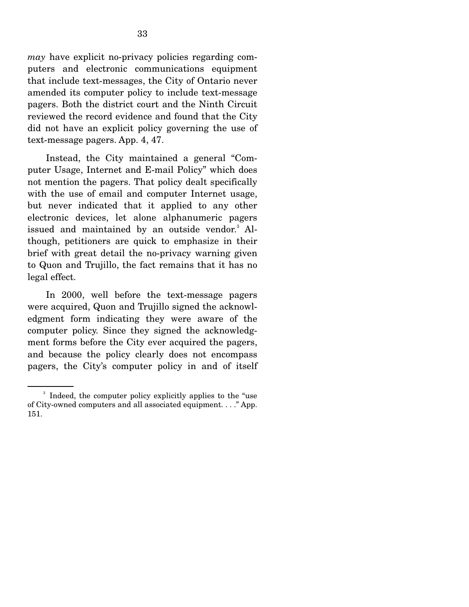*may* have explicit no-privacy policies regarding computers and electronic communications equipment that include text-messages, the City of Ontario never amended its computer policy to include text-message pagers. Both the district court and the Ninth Circuit reviewed the record evidence and found that the City did not have an explicit policy governing the use of text-message pagers. App. 4, 47.

 Instead, the City maintained a general "Computer Usage, Internet and E-mail Policy" which does not mention the pagers. That policy dealt specifically with the use of email and computer Internet usage, but never indicated that it applied to any other electronic devices, let alone alphanumeric pagers issued and maintained by an outside vendor.<sup>3</sup> Although, petitioners are quick to emphasize in their brief with great detail the no-privacy warning given to Quon and Trujillo, the fact remains that it has no legal effect.

 In 2000, well before the text-message pagers were acquired, Quon and Trujillo signed the acknowledgment form indicating they were aware of the computer policy. Since they signed the acknowledgment forms before the City ever acquired the pagers, and because the policy clearly does not encompass pagers, the City's computer policy in and of itself

<sup>&</sup>lt;sup>3</sup> Indeed, the computer policy explicitly applies to the "use of City-owned computers and all associated equipment. . . ." App. 151.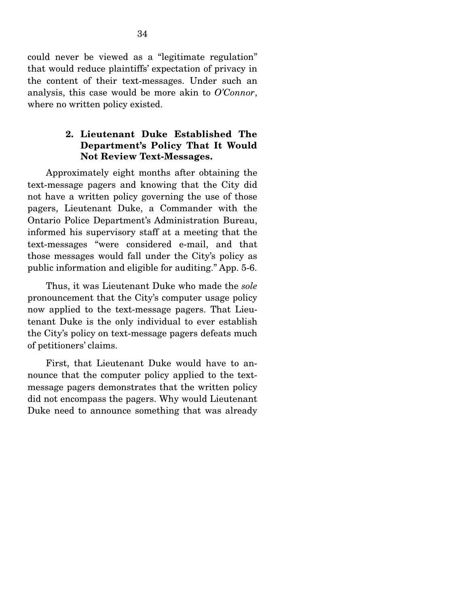could never be viewed as a "legitimate regulation" that would reduce plaintiffs' expectation of privacy in the content of their text-messages. Under such an analysis, this case would be more akin to *O'Connor*, where no written policy existed.

### **2. Lieutenant Duke Established The Department's Policy That It Would Not Review Text-Messages.**

Approximately eight months after obtaining the text-message pagers and knowing that the City did not have a written policy governing the use of those pagers, Lieutenant Duke, a Commander with the Ontario Police Department's Administration Bureau, informed his supervisory staff at a meeting that the text-messages "were considered e-mail, and that those messages would fall under the City's policy as public information and eligible for auditing." App. 5-6.

 Thus, it was Lieutenant Duke who made the *sole* pronouncement that the City's computer usage policy now applied to the text-message pagers. That Lieutenant Duke is the only individual to ever establish the City's policy on text-message pagers defeats much of petitioners' claims.

 First, that Lieutenant Duke would have to announce that the computer policy applied to the textmessage pagers demonstrates that the written policy did not encompass the pagers. Why would Lieutenant Duke need to announce something that was already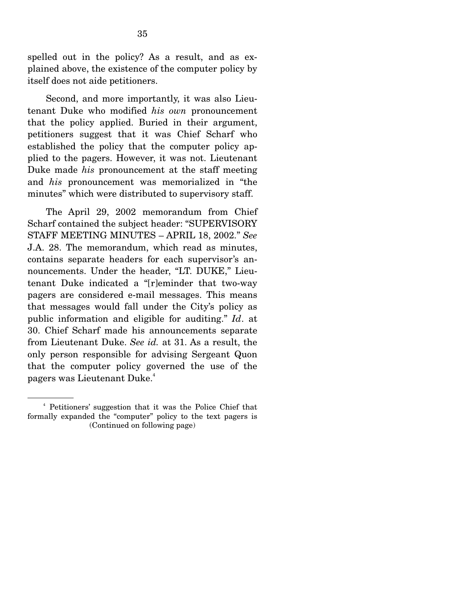spelled out in the policy? As a result, and as explained above, the existence of the computer policy by itself does not aide petitioners.

 Second, and more importantly, it was also Lieutenant Duke who modified *his own* pronouncement that the policy applied. Buried in their argument, petitioners suggest that it was Chief Scharf who established the policy that the computer policy applied to the pagers. However, it was not. Lieutenant Duke made *his* pronouncement at the staff meeting and *his* pronouncement was memorialized in "the minutes" which were distributed to supervisory staff.

 The April 29, 2002 memorandum from Chief Scharf contained the subject header: "SUPERVISORY STAFF MEETING MINUTES – APRIL 18, 2002." *See* J.A. 28. The memorandum, which read as minutes, contains separate headers for each supervisor's announcements. Under the header, "LT. DUKE," Lieutenant Duke indicated a "[r]eminder that two-way pagers are considered e-mail messages. This means that messages would fall under the City's policy as public information and eligible for auditing." *Id*. at 30. Chief Scharf made his announcements separate from Lieutenant Duke. *See id.* at 31. As a result, the only person responsible for advising Sergeant Quon that the computer policy governed the use of the pagers was Lieutenant Duke.<sup>4</sup>

<sup>4</sup> Petitioners' suggestion that it was the Police Chief that formally expanded the "computer" policy to the text pagers is (Continued on following page)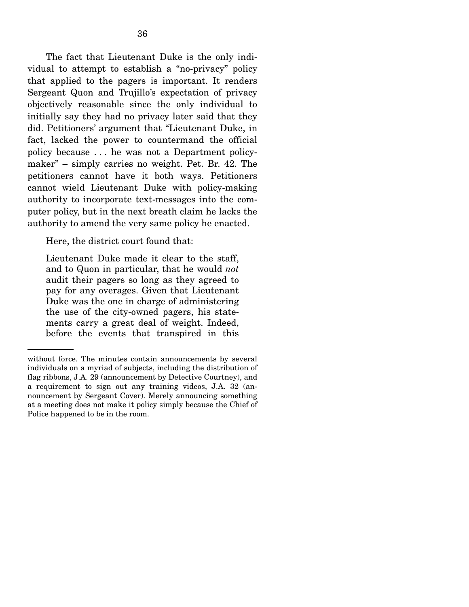The fact that Lieutenant Duke is the only individual to attempt to establish a "no-privacy" policy that applied to the pagers is important. It renders Sergeant Quon and Trujillo's expectation of privacy objectively reasonable since the only individual to initially say they had no privacy later said that they did. Petitioners' argument that "Lieutenant Duke, in fact, lacked the power to countermand the official policy because . . . he was not a Department policymaker" – simply carries no weight. Pet. Br. 42. The petitioners cannot have it both ways. Petitioners cannot wield Lieutenant Duke with policy-making authority to incorporate text-messages into the computer policy, but in the next breath claim he lacks the authority to amend the very same policy he enacted.

Here, the district court found that:

Lieutenant Duke made it clear to the staff, and to Quon in particular, that he would *not* audit their pagers so long as they agreed to pay for any overages. Given that Lieutenant Duke was the one in charge of administering the use of the city-owned pagers, his statements carry a great deal of weight. Indeed, before the events that transpired in this

without force. The minutes contain announcements by several individuals on a myriad of subjects, including the distribution of flag ribbons, J.A. 29 (announcement by Detective Courtney), and a requirement to sign out any training videos, J.A. 32 (announcement by Sergeant Cover). Merely announcing something at a meeting does not make it policy simply because the Chief of Police happened to be in the room.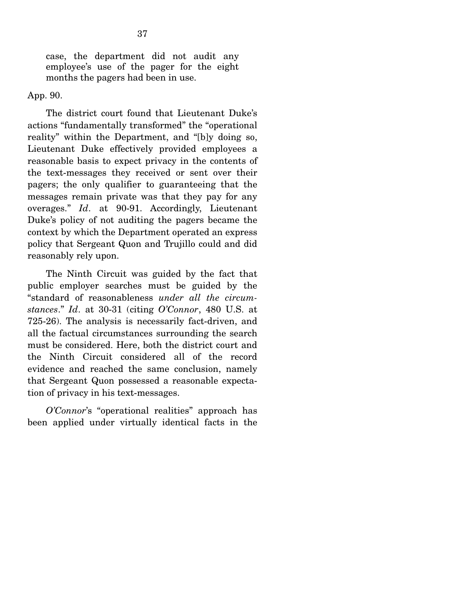case, the department did not audit any employee's use of the pager for the eight months the pagers had been in use.

App. 90.

 The district court found that Lieutenant Duke's actions "fundamentally transformed" the "operational reality" within the Department, and "[b]y doing so, Lieutenant Duke effectively provided employees a reasonable basis to expect privacy in the contents of the text-messages they received or sent over their pagers; the only qualifier to guaranteeing that the messages remain private was that they pay for any overages." *Id*. at 90-91. Accordingly, Lieutenant Duke's policy of not auditing the pagers became the context by which the Department operated an express policy that Sergeant Quon and Trujillo could and did reasonably rely upon.

 The Ninth Circuit was guided by the fact that public employer searches must be guided by the "standard of reasonableness *under all the circumstances*." *Id*. at 30-31 (citing *O'Connor*, 480 U.S. at 725-26). The analysis is necessarily fact-driven, and all the factual circumstances surrounding the search must be considered. Here, both the district court and the Ninth Circuit considered all of the record evidence and reached the same conclusion, namely that Sergeant Quon possessed a reasonable expectation of privacy in his text-messages.

*O'Connor*'s "operational realities" approach has been applied under virtually identical facts in the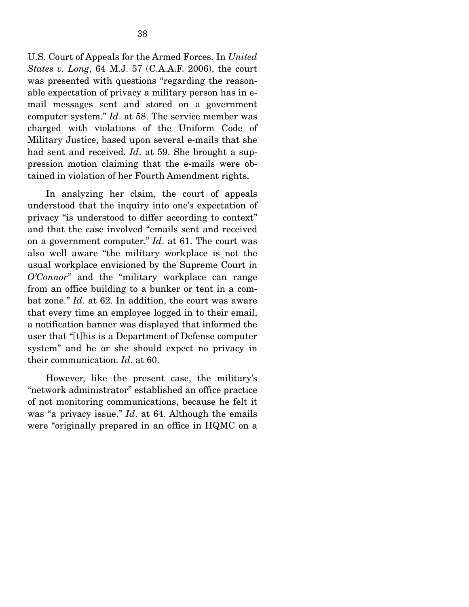U.S. Court of Appeals for the Armed Forces. In *United States v. Long*, 64 M.J. 57 (C.A.A.F. 2006), the court was presented with questions "regarding the reasonable expectation of privacy a military person has in email messages sent and stored on a government computer system." *Id*. at 58. The service member was charged with violations of the Uniform Code of Military Justice, based upon several e-mails that she had sent and received. *Id*. at 59. She brought a suppression motion claiming that the e-mails were obtained in violation of her Fourth Amendment rights.

 In analyzing her claim, the court of appeals understood that the inquiry into one's expectation of privacy "is understood to differ according to context" and that the case involved "emails sent and received on a government computer." *Id*. at 61. The court was also well aware "the military workplace is not the usual workplace envisioned by the Supreme Court in *O'Connor*" and the "military workplace can range from an office building to a bunker or tent in a combat zone." *Id*. at 62. In addition, the court was aware that every time an employee logged in to their email, a notification banner was displayed that informed the user that "[t]his is a Department of Defense computer system" and he or she should expect no privacy in their communication. *Id*. at 60.

 However, like the present case, the military's "network administrator" established an office practice of not monitoring communications, because he felt it was "a privacy issue." *Id*. at 64. Although the emails were "originally prepared in an office in HQMC on a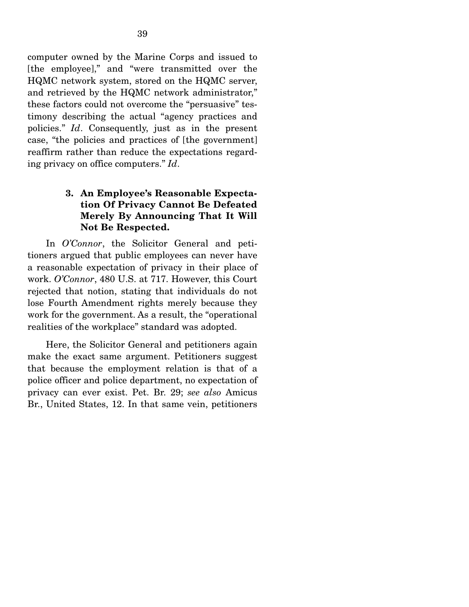computer owned by the Marine Corps and issued to [the employee]," and "were transmitted over the HQMC network system, stored on the HQMC server, and retrieved by the HQMC network administrator," these factors could not overcome the "persuasive" testimony describing the actual "agency practices and policies." *Id*. Consequently, just as in the present case, "the policies and practices of [the government] reaffirm rather than reduce the expectations regarding privacy on office computers." *Id*.

## **3. An Employee's Reasonable Expectation Of Privacy Cannot Be Defeated Merely By Announcing That It Will Not Be Respected.**

In *O'Connor*, the Solicitor General and petitioners argued that public employees can never have a reasonable expectation of privacy in their place of work. *O'Connor*, 480 U.S. at 717. However, this Court rejected that notion, stating that individuals do not lose Fourth Amendment rights merely because they work for the government. As a result, the "operational realities of the workplace" standard was adopted.

 Here, the Solicitor General and petitioners again make the exact same argument. Petitioners suggest that because the employment relation is that of a police officer and police department, no expectation of privacy can ever exist. Pet. Br. 29; *see also* Amicus Br., United States, 12. In that same vein, petitioners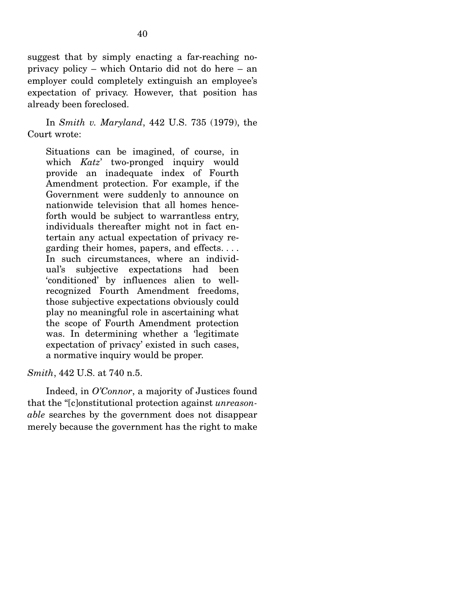suggest that by simply enacting a far-reaching noprivacy policy – which Ontario did not do here – an employer could completely extinguish an employee's expectation of privacy. However, that position has already been foreclosed.

 In *Smith v. Maryland*, 442 U.S. 735 (1979), the Court wrote:

Situations can be imagined, of course, in which *Katz*' two-pronged inquiry would provide an inadequate index of Fourth Amendment protection. For example, if the Government were suddenly to announce on nationwide television that all homes henceforth would be subject to warrantless entry, individuals thereafter might not in fact entertain any actual expectation of privacy regarding their homes, papers, and effects. . . . In such circumstances, where an individual's subjective expectations had been 'conditioned' by influences alien to wellrecognized Fourth Amendment freedoms, those subjective expectations obviously could play no meaningful role in ascertaining what the scope of Fourth Amendment protection was. In determining whether a 'legitimate expectation of privacy' existed in such cases, a normative inquiry would be proper.

*Smith*, 442 U.S. at 740 n.5.

 Indeed, in *O'Connor*, a majority of Justices found that the "[c]onstitutional protection against *unreasonable* searches by the government does not disappear merely because the government has the right to make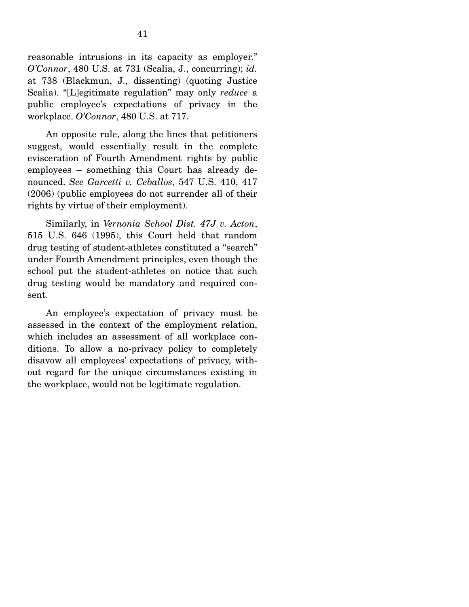reasonable intrusions in its capacity as employer." *O'Connor*, 480 U.S. at 731 (Scalia, J., concurring); *id.* at 738 (Blackmun, J., dissenting) (quoting Justice Scalia). "[L]egitimate regulation" may only *reduce* a public employee's expectations of privacy in the workplace. *O'Connor*, 480 U.S. at 717.

 An opposite rule, along the lines that petitioners suggest, would essentially result in the complete evisceration of Fourth Amendment rights by public employees – something this Court has already denounced. *See Garcetti v. Ceballos*, 547 U.S. 410, 417 (2006) (public employees do not surrender all of their rights by virtue of their employment).

 Similarly, in *Vernonia School Dist. 47J v. Acton*, 515 U.S. 646 (1995), this Court held that random drug testing of student-athletes constituted a "search" under Fourth Amendment principles, even though the school put the student-athletes on notice that such drug testing would be mandatory and required consent.

 An employee's expectation of privacy must be assessed in the context of the employment relation, which includes an assessment of all workplace conditions. To allow a no-privacy policy to completely disavow all employees' expectations of privacy, without regard for the unique circumstances existing in the workplace, would not be legitimate regulation.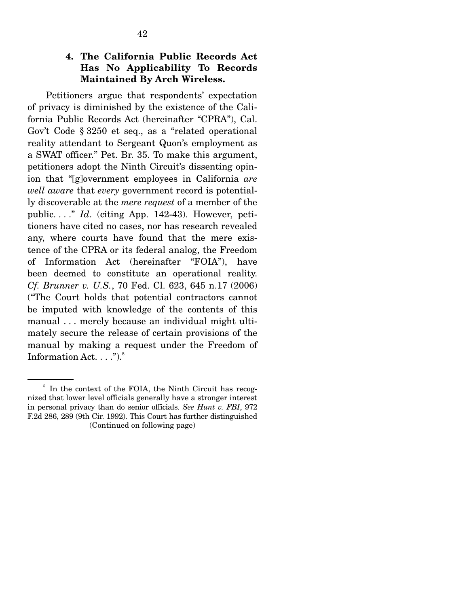## **4. The California Public Records Act Has No Applicability To Records Maintained By Arch Wireless.**

Petitioners argue that respondents' expectation of privacy is diminished by the existence of the California Public Records Act (hereinafter "CPRA"), Cal. Gov't Code § 3250 et seq., as a "related operational reality attendant to Sergeant Quon's employment as a SWAT officer." Pet. Br. 35. To make this argument, petitioners adopt the Ninth Circuit's dissenting opinion that "[g]overnment employees in California *are well aware* that *every* government record is potentially discoverable at the *mere request* of a member of the public. . . ." *Id*. (citing App. 142-43). However, petitioners have cited no cases, nor has research revealed any, where courts have found that the mere existence of the CPRA or its federal analog, the Freedom of Information Act (hereinafter "FOIA"), have been deemed to constitute an operational reality. *Cf. Brunner v. U.S.*, 70 Fed. Cl. 623, 645 n.17 (2006) ("The Court holds that potential contractors cannot be imputed with knowledge of the contents of this manual . . . merely because an individual might ultimately secure the release of certain provisions of the manual by making a request under the Freedom of Information Act.  $\dots$ ").<sup>5</sup>

<sup>&</sup>lt;sup>5</sup> In the context of the FOIA, the Ninth Circuit has recognized that lower level officials generally have a stronger interest in personal privacy than do senior officials. *See Hunt v. FBI*, 972 F.2d 286, 289 (9th Cir. 1992). This Court has further distinguished (Continued on following page)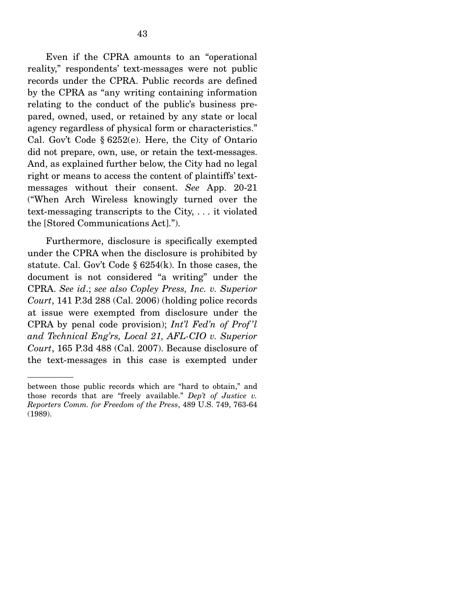Even if the CPRA amounts to an "operational reality," respondents' text-messages were not public records under the CPRA. Public records are defined by the CPRA as "any writing containing information relating to the conduct of the public's business prepared, owned, used, or retained by any state or local agency regardless of physical form or characteristics." Cal. Gov't Code § 6252(e). Here, the City of Ontario did not prepare, own, use, or retain the text-messages. And, as explained further below, the City had no legal right or means to access the content of plaintiffs' textmessages without their consent. *See* App. 20-21 ("When Arch Wireless knowingly turned over the text-messaging transcripts to the City, . . . it violated the [Stored Communications Act].").

 Furthermore, disclosure is specifically exempted under the CPRA when the disclosure is prohibited by statute. Cal. Gov't Code § 6254(k). In those cases, the document is not considered "a writing" under the CPRA. *See id*.; *see also Copley Press, Inc. v. Superior Court*, 141 P.3d 288 (Cal. 2006) (holding police records at issue were exempted from disclosure under the CPRA by penal code provision); *Int'l Fed'n of Prof 'l and Technical Eng'rs, Local 21, AFL-CIO v. Superior Court*, 165 P.3d 488 (Cal. 2007). Because disclosure of the text-messages in this case is exempted under

between those public records which are "hard to obtain," and those records that are "freely available." *Dep't of Justice v. Reporters Comm. for Freedom of the Press*, 489 U.S. 749, 763-64 (1989).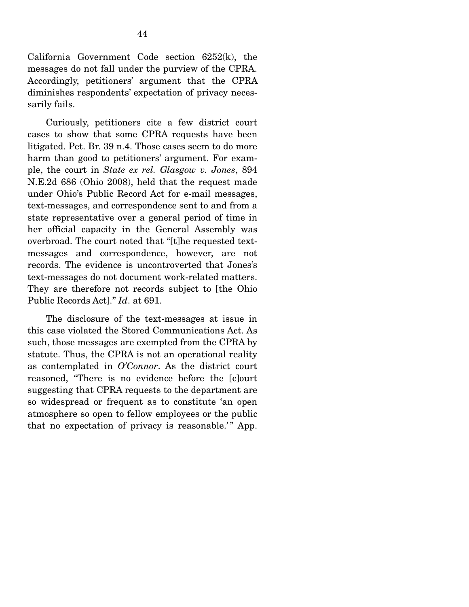California Government Code section 6252(k), the messages do not fall under the purview of the CPRA. Accordingly, petitioners' argument that the CPRA diminishes respondents' expectation of privacy necessarily fails.

 Curiously, petitioners cite a few district court cases to show that some CPRA requests have been litigated. Pet. Br. 39 n.4. Those cases seem to do more harm than good to petitioners' argument. For example, the court in *State ex rel. Glasgow v. Jones*, 894 N.E.2d 686 (Ohio 2008), held that the request made under Ohio's Public Record Act for e-mail messages, text-messages, and correspondence sent to and from a state representative over a general period of time in her official capacity in the General Assembly was overbroad. The court noted that "[t]he requested textmessages and correspondence, however, are not records. The evidence is uncontroverted that Jones's text-messages do not document work-related matters. They are therefore not records subject to [the Ohio Public Records Act]." *Id*. at 691.

The disclosure of the text-messages at issue in this case violated the Stored Communications Act. As such, those messages are exempted from the CPRA by statute. Thus, the CPRA is not an operational reality as contemplated in *O'Connor*. As the district court reasoned, "There is no evidence before the [c]ourt suggesting that CPRA requests to the department are so widespread or frequent as to constitute 'an open atmosphere so open to fellow employees or the public that no expectation of privacy is reasonable.'" App.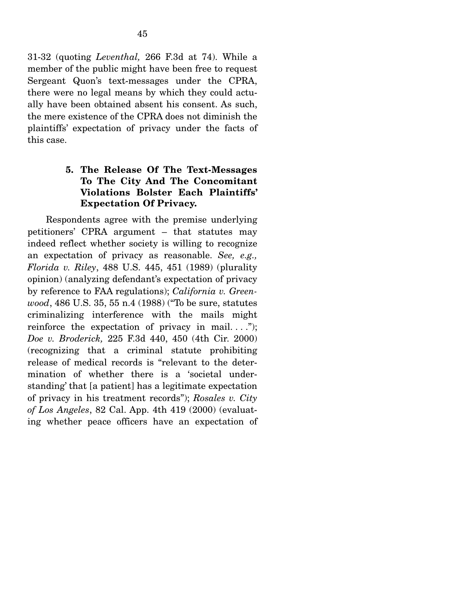31-32 (quoting *Leventhal,* 266 F.3d at 74). While a member of the public might have been free to request Sergeant Quon's text-messages under the CPRA, there were no legal means by which they could actually have been obtained absent his consent. As such, the mere existence of the CPRA does not diminish the plaintiffs' expectation of privacy under the facts of this case.

# **5. The Release Of The Text-Messages To The City And The Concomitant Violations Bolster Each Plaintiffs' Expectation Of Privacy.**

Respondents agree with the premise underlying petitioners' CPRA argument – that statutes may indeed reflect whether society is willing to recognize an expectation of privacy as reasonable. *See, e.g., Florida v. Riley*, 488 U.S. 445, 451 (1989) (plurality opinion) (analyzing defendant's expectation of privacy by reference to FAA regulations); *California v. Greenwood*, 486 U.S. 35, 55 n.4 (1988) ("To be sure, statutes criminalizing interference with the mails might reinforce the expectation of privacy in mail...."); *Doe v. Broderick,* 225 F.3d 440, 450 (4th Cir. 2000) (recognizing that a criminal statute prohibiting release of medical records is "relevant to the determination of whether there is a 'societal understanding' that [a patient] has a legitimate expectation of privacy in his treatment records"); *Rosales v. City of Los Angeles*, 82 Cal. App. 4th 419 (2000) (evaluating whether peace officers have an expectation of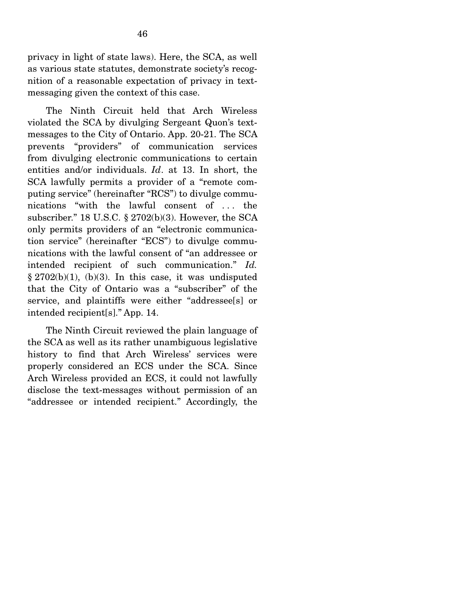privacy in light of state laws). Here, the SCA, as well as various state statutes, demonstrate society's recognition of a reasonable expectation of privacy in textmessaging given the context of this case.

 The Ninth Circuit held that Arch Wireless violated the SCA by divulging Sergeant Quon's textmessages to the City of Ontario. App. 20-21. The SCA prevents "providers" of communication services from divulging electronic communications to certain entities and/or individuals. *Id*. at 13. In short, the SCA lawfully permits a provider of a "remote computing service" (hereinafter "RCS") to divulge communications "with the lawful consent of . . . the subscriber." 18 U.S.C. § 2702(b)(3). However, the SCA only permits providers of an "electronic communication service" (hereinafter "ECS") to divulge communications with the lawful consent of "an addressee or intended recipient of such communication." *Id.*  $§ 2702(b)(1), (b)(3).$  In this case, it was undisputed that the City of Ontario was a "subscriber" of the service, and plaintiffs were either "addressee[s] or intended recipient[s]." App. 14.

 The Ninth Circuit reviewed the plain language of the SCA as well as its rather unambiguous legislative history to find that Arch Wireless' services were properly considered an ECS under the SCA. Since Arch Wireless provided an ECS, it could not lawfully disclose the text-messages without permission of an "addressee or intended recipient." Accordingly, the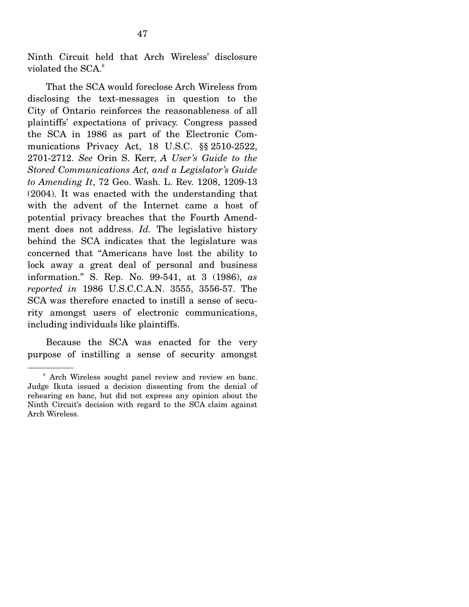Ninth Circuit held that Arch Wireless' disclosure violated the SCA.<sup>6</sup>

 That the SCA would foreclose Arch Wireless from disclosing the text-messages in question to the City of Ontario reinforces the reasonableness of all plaintiffs' expectations of privacy. Congress passed the SCA in 1986 as part of the Electronic Communications Privacy Act, 18 U.S.C. §§ 2510-2522, 2701-2712. *See* Orin S. Kerr, *A User's Guide to the Stored Communications Act, and a Legislator's Guide to Amending It*, 72 Geo. Wash. L. Rev. 1208, 1209-13 (2004). It was enacted with the understanding that with the advent of the Internet came a host of potential privacy breaches that the Fourth Amendment does not address. *Id.* The legislative history behind the SCA indicates that the legislature was concerned that "Americans have lost the ability to lock away a great deal of personal and business information." S. Rep. No. 99-541, at 3 (1986), *as reported in* 1986 U.S.C.C.A.N. 3555, 3556-57. The SCA was therefore enacted to instill a sense of security amongst users of electronic communications, including individuals like plaintiffs.

 Because the SCA was enacted for the very purpose of instilling a sense of security amongst

<sup>6</sup> Arch Wireless sought panel review and review en banc. Judge Ikuta issued a decision dissenting from the denial of rehearing en banc, but did not express any opinion about the Ninth Circuit's decision with regard to the SCA claim against Arch Wireless.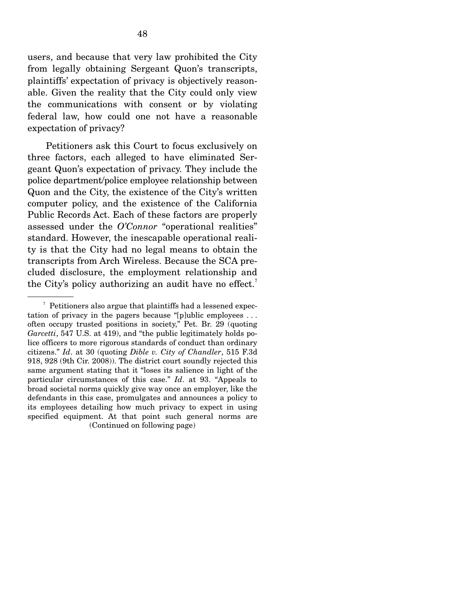users, and because that very law prohibited the City from legally obtaining Sergeant Quon's transcripts, plaintiffs' expectation of privacy is objectively reasonable. Given the reality that the City could only view the communications with consent or by violating federal law, how could one not have a reasonable expectation of privacy?

 Petitioners ask this Court to focus exclusively on three factors, each alleged to have eliminated Sergeant Quon's expectation of privacy. They include the police department/police employee relationship between Quon and the City, the existence of the City's written computer policy, and the existence of the California Public Records Act. Each of these factors are properly assessed under the *O'Connor* "operational realities" standard. However, the inescapable operational reality is that the City had no legal means to obtain the transcripts from Arch Wireless. Because the SCA precluded disclosure, the employment relationship and the City's policy authorizing an audit have no effect.<sup>7</sup>

 $7$  Petitioners also argue that plaintiffs had a lessened expectation of privacy in the pagers because "[p]ublic employees . . . often occupy trusted positions in society," Pet. Br. 29 (quoting *Garcetti*, 547 U.S. at 419), and "the public legitimately holds police officers to more rigorous standards of conduct than ordinary citizens." *Id*. at 30 (quoting *Dible v. City of Chandler*, 515 F.3d 918, 928 (9th Cir. 2008)). The district court soundly rejected this same argument stating that it "loses its salience in light of the particular circumstances of this case." *Id*. at 93. "Appeals to broad societal norms quickly give way once an employer, like the defendants in this case, promulgates and announces a policy to its employees detailing how much privacy to expect in using specified equipment. At that point such general norms are (Continued on following page)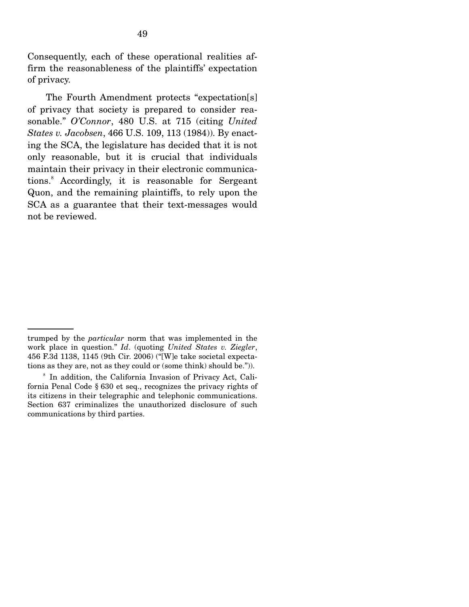Consequently, each of these operational realities affirm the reasonableness of the plaintiffs' expectation of privacy.

 The Fourth Amendment protects "expectation[s] of privacy that society is prepared to consider reasonable." *O'Connor*, 480 U.S. at 715 (citing *United States v. Jacobsen*, 466 U.S. 109, 113 (1984)). By enacting the SCA, the legislature has decided that it is not only reasonable, but it is crucial that individuals maintain their privacy in their electronic communications.8 Accordingly, it is reasonable for Sergeant Quon, and the remaining plaintiffs, to rely upon the SCA as a guarantee that their text-messages would not be reviewed.

trumped by the *particular* norm that was implemented in the work place in question." *Id*. (quoting *United States v. Ziegler*, 456 F.3d 1138, 1145 (9th Cir. 2006) ("[W]e take societal expectations as they are, not as they could or (some think) should be.")).

<sup>8</sup> In addition, the California Invasion of Privacy Act, California Penal Code § 630 et seq., recognizes the privacy rights of its citizens in their telegraphic and telephonic communications. Section 637 criminalizes the unauthorized disclosure of such communications by third parties.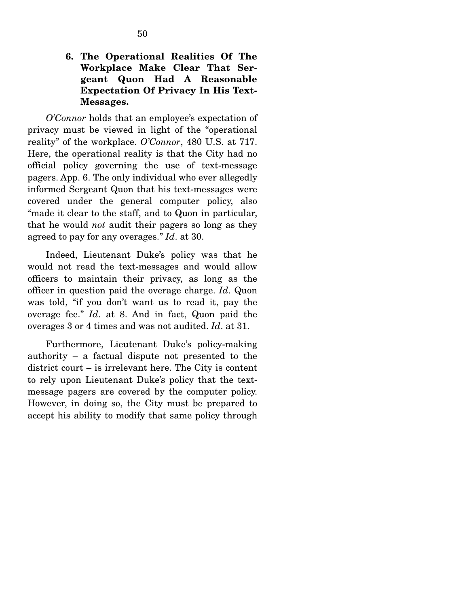*O'Connor* holds that an employee's expectation of privacy must be viewed in light of the "operational reality" of the workplace. *O'Connor*, 480 U.S. at 717. Here, the operational reality is that the City had no official policy governing the use of text-message pagers. App. 6. The only individual who ever allegedly informed Sergeant Quon that his text-messages were covered under the general computer policy, also "made it clear to the staff, and to Quon in particular, that he would *not* audit their pagers so long as they agreed to pay for any overages." *Id*. at 30.

 Indeed, Lieutenant Duke's policy was that he would not read the text-messages and would allow officers to maintain their privacy, as long as the officer in question paid the overage charge. *Id*. Quon was told, "if you don't want us to read it, pay the overage fee." *Id*. at 8. And in fact, Quon paid the overages 3 or 4 times and was not audited. *Id*. at 31.

 Furthermore, Lieutenant Duke's policy-making authority – a factual dispute not presented to the district court – is irrelevant here. The City is content to rely upon Lieutenant Duke's policy that the textmessage pagers are covered by the computer policy. However, in doing so, the City must be prepared to accept his ability to modify that same policy through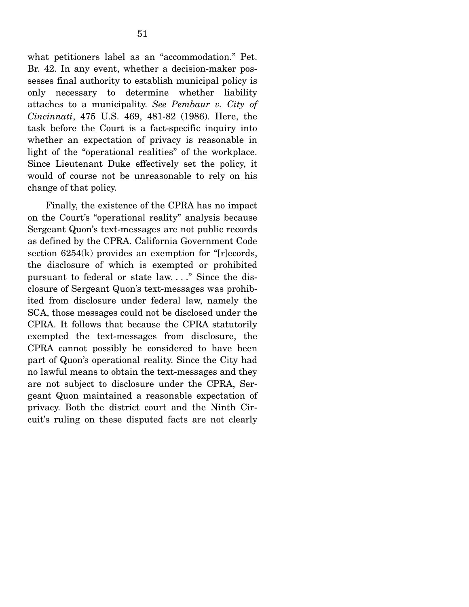what petitioners label as an "accommodation." Pet. Br. 42. In any event, whether a decision-maker possesses final authority to establish municipal policy is only necessary to determine whether liability attaches to a municipality. *See Pembaur v. City of Cincinnati*, 475 U.S. 469, 481-82 (1986). Here, the task before the Court is a fact-specific inquiry into whether an expectation of privacy is reasonable in light of the "operational realities" of the workplace. Since Lieutenant Duke effectively set the policy, it would of course not be unreasonable to rely on his change of that policy.

 Finally, the existence of the CPRA has no impact on the Court's "operational reality" analysis because Sergeant Quon's text-messages are not public records as defined by the CPRA. California Government Code section 6254(k) provides an exemption for "[r]ecords, the disclosure of which is exempted or prohibited pursuant to federal or state law. . . ." Since the disclosure of Sergeant Quon's text-messages was prohibited from disclosure under federal law, namely the SCA, those messages could not be disclosed under the CPRA. It follows that because the CPRA statutorily exempted the text-messages from disclosure, the CPRA cannot possibly be considered to have been part of Quon's operational reality. Since the City had no lawful means to obtain the text-messages and they are not subject to disclosure under the CPRA, Sergeant Quon maintained a reasonable expectation of privacy. Both the district court and the Ninth Circuit's ruling on these disputed facts are not clearly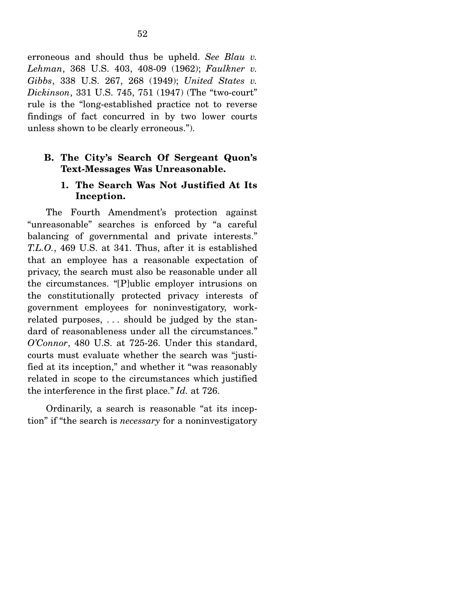erroneous and should thus be upheld. *See Blau v. Lehman*, 368 U.S. 403, 408-09 (1962); *Faulkner v. Gibbs*, 338 U.S. 267, 268 (1949); *United States v. Dickinson*, 331 U.S. 745, 751 (1947) (The "two-court" rule is the "long-established practice not to reverse findings of fact concurred in by two lower courts unless shown to be clearly erroneous.").

### **B. The City's Search Of Sergeant Quon's Text-Messages Was Unreasonable.**

### **1. The Search Was Not Justified At Its Inception.**

The Fourth Amendment's protection against "unreasonable" searches is enforced by "a careful balancing of governmental and private interests." *T.L.O.*, 469 U.S. at 341. Thus, after it is established that an employee has a reasonable expectation of privacy, the search must also be reasonable under all the circumstances. "[P]ublic employer intrusions on the constitutionally protected privacy interests of government employees for noninvestigatory, workrelated purposes, . . . should be judged by the standard of reasonableness under all the circumstances." *O'Connor*, 480 U.S. at 725-26. Under this standard, courts must evaluate whether the search was "justified at its inception," and whether it "was reasonably related in scope to the circumstances which justified the interference in the first place." *Id.* at 726.

 Ordinarily, a search is reasonable "at its inception" if "the search is *necessary* for a noninvestigatory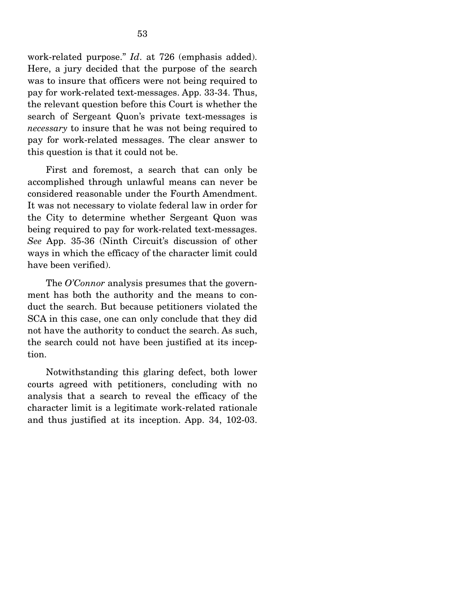work-related purpose." *Id*. at 726 (emphasis added). Here, a jury decided that the purpose of the search was to insure that officers were not being required to pay for work-related text-messages. App. 33-34. Thus, the relevant question before this Court is whether the search of Sergeant Quon's private text-messages is *necessary* to insure that he was not being required to pay for work-related messages. The clear answer to this question is that it could not be.

 First and foremost, a search that can only be accomplished through unlawful means can never be considered reasonable under the Fourth Amendment. It was not necessary to violate federal law in order for the City to determine whether Sergeant Quon was being required to pay for work-related text-messages. *See* App. 35-36 (Ninth Circuit's discussion of other ways in which the efficacy of the character limit could have been verified).

 The *O'Connor* analysis presumes that the government has both the authority and the means to conduct the search. But because petitioners violated the SCA in this case, one can only conclude that they did not have the authority to conduct the search. As such, the search could not have been justified at its inception.

 Notwithstanding this glaring defect, both lower courts agreed with petitioners, concluding with no analysis that a search to reveal the efficacy of the character limit is a legitimate work-related rationale and thus justified at its inception. App. 34, 102-03.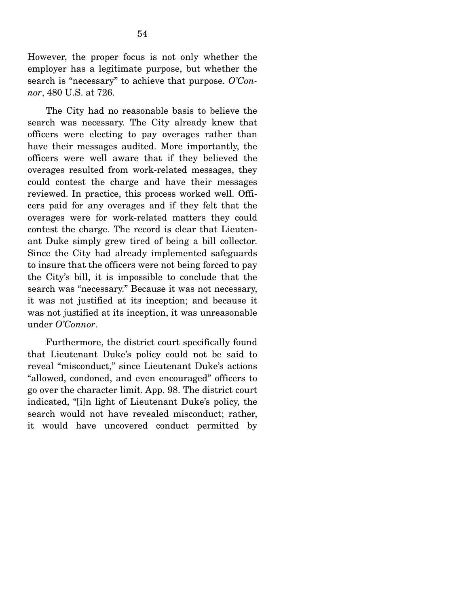However, the proper focus is not only whether the employer has a legitimate purpose, but whether the search is "necessary" to achieve that purpose. *O'Connor*, 480 U.S. at 726.

 The City had no reasonable basis to believe the search was necessary. The City already knew that officers were electing to pay overages rather than have their messages audited. More importantly, the officers were well aware that if they believed the overages resulted from work-related messages, they could contest the charge and have their messages reviewed. In practice, this process worked well. Officers paid for any overages and if they felt that the overages were for work-related matters they could contest the charge. The record is clear that Lieutenant Duke simply grew tired of being a bill collector. Since the City had already implemented safeguards to insure that the officers were not being forced to pay the City's bill, it is impossible to conclude that the search was "necessary." Because it was not necessary, it was not justified at its inception; and because it was not justified at its inception, it was unreasonable under *O'Connor*.

 Furthermore, the district court specifically found that Lieutenant Duke's policy could not be said to reveal "misconduct," since Lieutenant Duke's actions "allowed, condoned, and even encouraged" officers to go over the character limit. App. 98. The district court indicated, "[i]n light of Lieutenant Duke's policy, the search would not have revealed misconduct; rather, it would have uncovered conduct permitted by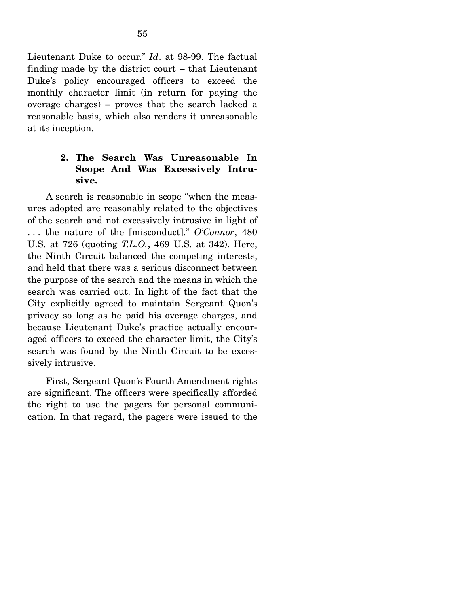Lieutenant Duke to occur." *Id*. at 98-99. The factual finding made by the district court – that Lieutenant Duke's policy encouraged officers to exceed the monthly character limit (in return for paying the overage charges) – proves that the search lacked a reasonable basis, which also renders it unreasonable at its inception.

## **2. The Search Was Unreasonable In Scope And Was Excessively Intrusive.**

A search is reasonable in scope "when the measures adopted are reasonably related to the objectives of the search and not excessively intrusive in light of . . . the nature of the [misconduct]." *O'Connor*, 480 U.S. at 726 (quoting *T.L.O.*, 469 U.S. at 342). Here, the Ninth Circuit balanced the competing interests, and held that there was a serious disconnect between the purpose of the search and the means in which the search was carried out. In light of the fact that the City explicitly agreed to maintain Sergeant Quon's privacy so long as he paid his overage charges, and because Lieutenant Duke's practice actually encouraged officers to exceed the character limit, the City's search was found by the Ninth Circuit to be excessively intrusive.

 First, Sergeant Quon's Fourth Amendment rights are significant. The officers were specifically afforded the right to use the pagers for personal communication. In that regard, the pagers were issued to the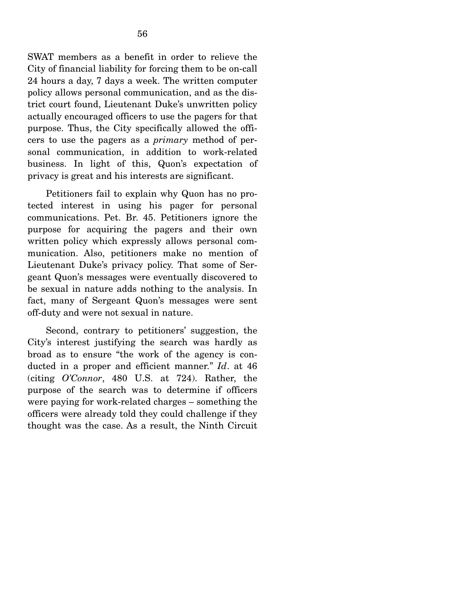SWAT members as a benefit in order to relieve the City of financial liability for forcing them to be on-call 24 hours a day, 7 days a week. The written computer policy allows personal communication, and as the district court found, Lieutenant Duke's unwritten policy actually encouraged officers to use the pagers for that purpose. Thus, the City specifically allowed the officers to use the pagers as a *primary* method of personal communication, in addition to work-related business. In light of this, Quon's expectation of privacy is great and his interests are significant.

 Petitioners fail to explain why Quon has no protected interest in using his pager for personal communications. Pet. Br. 45. Petitioners ignore the purpose for acquiring the pagers and their own written policy which expressly allows personal communication. Also, petitioners make no mention of Lieutenant Duke's privacy policy. That some of Sergeant Quon's messages were eventually discovered to be sexual in nature adds nothing to the analysis. In fact, many of Sergeant Quon's messages were sent off-duty and were not sexual in nature.

 Second, contrary to petitioners' suggestion, the City's interest justifying the search was hardly as broad as to ensure "the work of the agency is conducted in a proper and efficient manner." *Id*. at 46 (citing *O'Connor*, 480 U.S. at 724). Rather, the purpose of the search was to determine if officers were paying for work-related charges – something the officers were already told they could challenge if they thought was the case. As a result, the Ninth Circuit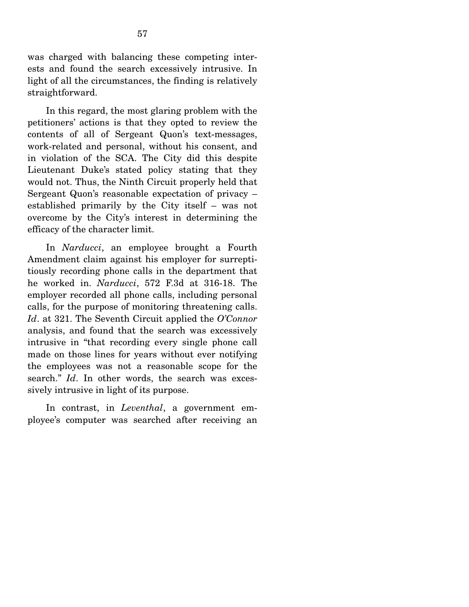was charged with balancing these competing interests and found the search excessively intrusive. In light of all the circumstances, the finding is relatively straightforward.

 In this regard, the most glaring problem with the petitioners' actions is that they opted to review the contents of all of Sergeant Quon's text-messages, work-related and personal, without his consent, and in violation of the SCA. The City did this despite Lieutenant Duke's stated policy stating that they would not. Thus, the Ninth Circuit properly held that Sergeant Quon's reasonable expectation of privacy – established primarily by the City itself – was not overcome by the City's interest in determining the efficacy of the character limit.

 In *Narducci*, an employee brought a Fourth Amendment claim against his employer for surreptitiously recording phone calls in the department that he worked in. *Narducci*, 572 F.3d at 316-18. The employer recorded all phone calls, including personal calls, for the purpose of monitoring threatening calls. *Id*. at 321. The Seventh Circuit applied the *O'Connor* analysis, and found that the search was excessively intrusive in "that recording every single phone call made on those lines for years without ever notifying the employees was not a reasonable scope for the search." *Id*. In other words, the search was excessively intrusive in light of its purpose.

 In contrast, in *Leventhal*, a government employee's computer was searched after receiving an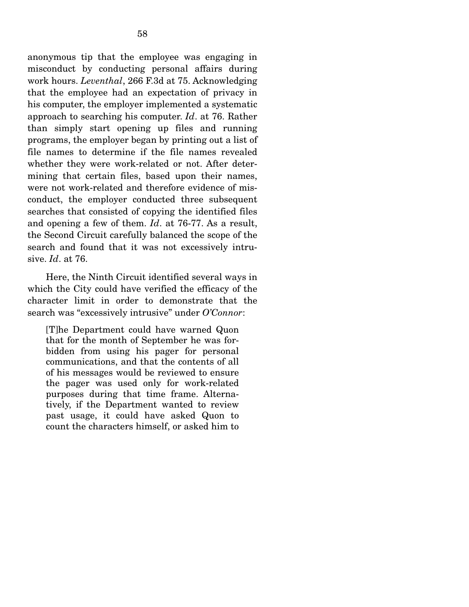anonymous tip that the employee was engaging in misconduct by conducting personal affairs during work hours. *Leventhal*, 266 F.3d at 75. Acknowledging that the employee had an expectation of privacy in his computer, the employer implemented a systematic approach to searching his computer. *Id*. at 76. Rather than simply start opening up files and running programs, the employer began by printing out a list of file names to determine if the file names revealed whether they were work-related or not. After determining that certain files, based upon their names, were not work-related and therefore evidence of misconduct, the employer conducted three subsequent searches that consisted of copying the identified files and opening a few of them. *Id*. at 76-77. As a result, the Second Circuit carefully balanced the scope of the search and found that it was not excessively intru-

 Here, the Ninth Circuit identified several ways in which the City could have verified the efficacy of the character limit in order to demonstrate that the search was "excessively intrusive" under *O'Connor*:

sive. *Id*. at 76.

[T]he Department could have warned Quon that for the month of September he was forbidden from using his pager for personal communications, and that the contents of all of his messages would be reviewed to ensure the pager was used only for work-related purposes during that time frame. Alternatively, if the Department wanted to review past usage, it could have asked Quon to count the characters himself, or asked him to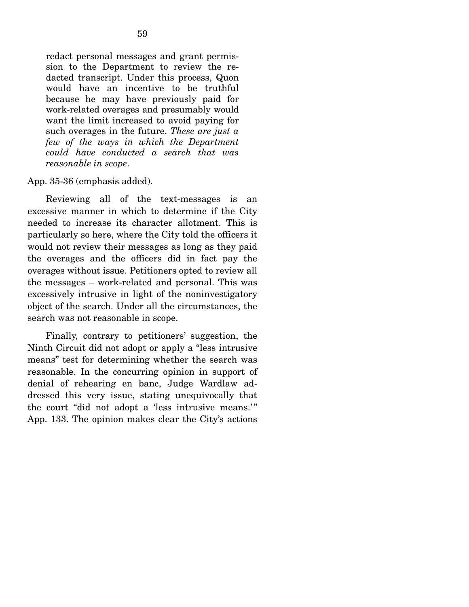redact personal messages and grant permission to the Department to review the redacted transcript. Under this process, Quon would have an incentive to be truthful because he may have previously paid for work-related overages and presumably would want the limit increased to avoid paying for such overages in the future. *These are just a few of the ways in which the Department could have conducted a search that was reasonable in scope*.

#### App. 35-36 (emphasis added).

 Reviewing all of the text-messages is an excessive manner in which to determine if the City needed to increase its character allotment. This is particularly so here, where the City told the officers it would not review their messages as long as they paid the overages and the officers did in fact pay the overages without issue. Petitioners opted to review all the messages – work-related and personal. This was excessively intrusive in light of the noninvestigatory object of the search. Under all the circumstances, the search was not reasonable in scope.

 Finally, contrary to petitioners' suggestion, the Ninth Circuit did not adopt or apply a "less intrusive means" test for determining whether the search was reasonable. In the concurring opinion in support of denial of rehearing en banc, Judge Wardlaw addressed this very issue, stating unequivocally that the court "did not adopt a 'less intrusive means.'" App. 133. The opinion makes clear the City's actions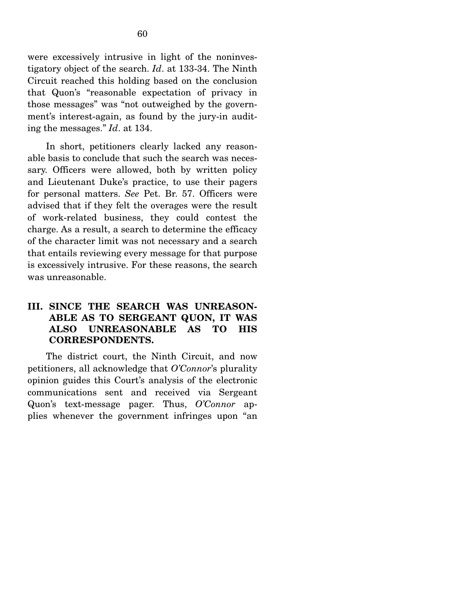were excessively intrusive in light of the noninvestigatory object of the search. *Id*. at 133-34. The Ninth Circuit reached this holding based on the conclusion that Quon's "reasonable expectation of privacy in those messages" was "not outweighed by the government's interest-again, as found by the jury-in auditing the messages." *Id*. at 134.

 In short, petitioners clearly lacked any reasonable basis to conclude that such the search was necessary. Officers were allowed, both by written policy and Lieutenant Duke's practice, to use their pagers for personal matters. *See* Pet. Br. 57. Officers were advised that if they felt the overages were the result of work-related business, they could contest the charge. As a result, a search to determine the efficacy of the character limit was not necessary and a search that entails reviewing every message for that purpose is excessively intrusive. For these reasons, the search was unreasonable.

# **III. SINCE THE SEARCH WAS UNREASON-ABLE AS TO SERGEANT QUON, IT WAS ALSO UNREASONABLE AS TO HIS CORRESPONDENTS.**

The district court, the Ninth Circuit, and now petitioners, all acknowledge that *O'Connor*'s plurality opinion guides this Court's analysis of the electronic communications sent and received via Sergeant Quon's text-message pager. Thus, *O'Connor* applies whenever the government infringes upon "an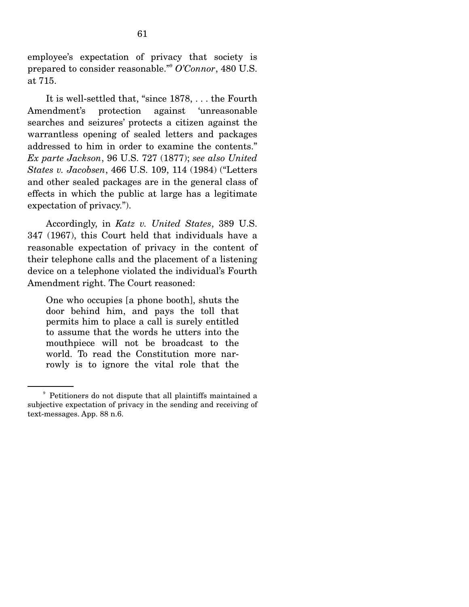employee's expectation of privacy that society is prepared to consider reasonable."9 *O'Connor*, 480 U.S. at 715.

 It is well-settled that, "since 1878, . . . the Fourth Amendment's protection against 'unreasonable searches and seizures' protects a citizen against the warrantless opening of sealed letters and packages addressed to him in order to examine the contents." *Ex parte Jackson*, 96 U.S. 727 (1877); *see also United States v. Jacobsen*, 466 U.S. 109, 114 (1984) ("Letters and other sealed packages are in the general class of effects in which the public at large has a legitimate expectation of privacy.").

 Accordingly, in *Katz v. United States*, 389 U.S. 347 (1967), this Court held that individuals have a reasonable expectation of privacy in the content of their telephone calls and the placement of a listening device on a telephone violated the individual's Fourth Amendment right. The Court reasoned:

One who occupies [a phone booth], shuts the door behind him, and pays the toll that permits him to place a call is surely entitled to assume that the words he utters into the mouthpiece will not be broadcast to the world. To read the Constitution more narrowly is to ignore the vital role that the

<sup>9</sup> Petitioners do not dispute that all plaintiffs maintained a subjective expectation of privacy in the sending and receiving of text-messages. App. 88 n.6.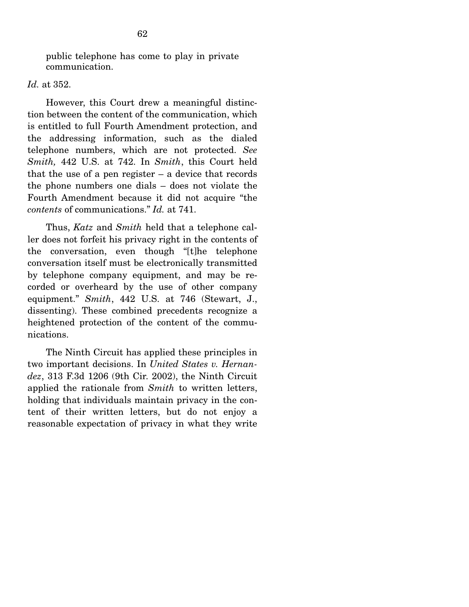public telephone has come to play in private communication.

#### *Id.* at 352.

 However, this Court drew a meaningful distinction between the content of the communication, which is entitled to full Fourth Amendment protection, and the addressing information, such as the dialed telephone numbers, which are not protected. *See Smith,* 442 U.S. at 742. In *Smith*, this Court held that the use of a pen register  $-$  a device that records the phone numbers one dials – does not violate the Fourth Amendment because it did not acquire "the *contents* of communications." *Id.* at 741.

 Thus, *Katz* and *Smith* held that a telephone caller does not forfeit his privacy right in the contents of the conversation, even though "[t]he telephone conversation itself must be electronically transmitted by telephone company equipment, and may be recorded or overheard by the use of other company equipment." *Smith*, 442 U.S. at 746 (Stewart, J., dissenting). These combined precedents recognize a heightened protection of the content of the communications.

 The Ninth Circuit has applied these principles in two important decisions. In *United States v. Hernandez*, 313 F.3d 1206 (9th Cir. 2002), the Ninth Circuit applied the rationale from *Smith* to written letters, holding that individuals maintain privacy in the content of their written letters, but do not enjoy a reasonable expectation of privacy in what they write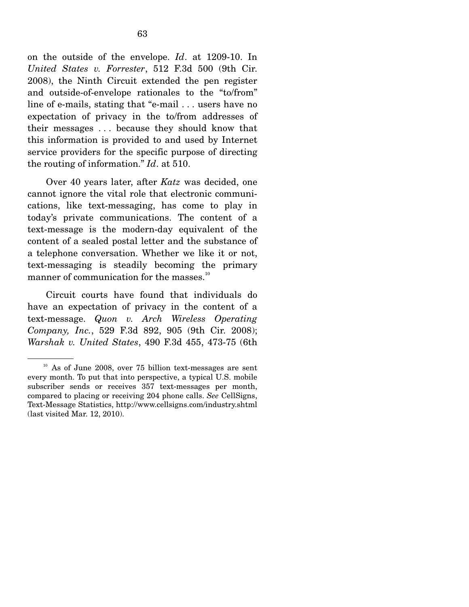on the outside of the envelope. *Id*. at 1209-10. In *United States v. Forrester*, 512 F.3d 500 (9th Cir. 2008), the Ninth Circuit extended the pen register and outside-of-envelope rationales to the "to/from" line of e-mails, stating that "e-mail . . . users have no expectation of privacy in the to/from addresses of their messages . . . because they should know that this information is provided to and used by Internet service providers for the specific purpose of directing the routing of information." *Id*. at 510.

 Over 40 years later, after *Katz* was decided, one cannot ignore the vital role that electronic communications, like text-messaging, has come to play in today's private communications. The content of a text-message is the modern-day equivalent of the content of a sealed postal letter and the substance of a telephone conversation. Whether we like it or not, text-messaging is steadily becoming the primary manner of communication for the masses.<sup>10</sup>

 Circuit courts have found that individuals do have an expectation of privacy in the content of a text-message. *Quon v. Arch Wireless Operating Company, Inc.*, 529 F.3d 892, 905 (9th Cir. 2008); *Warshak v. United States*, 490 F.3d 455, 473-75 (6th

<sup>&</sup>lt;sup>10</sup> As of June 2008, over 75 billion text-messages are sent every month. To put that into perspective, a typical U.S. mobile subscriber sends or receives 357 text-messages per month, compared to placing or receiving 204 phone calls. *See* CellSigns, Text-Message Statistics, http://www.cellsigns.com/industry.shtml (last visited Mar. 12, 2010).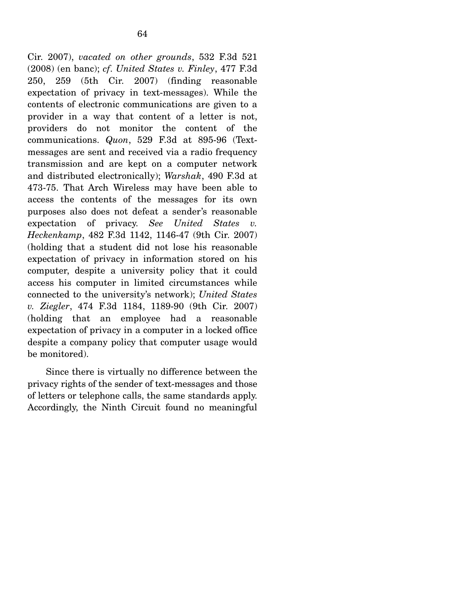Cir. 2007), *vacated on other grounds*, 532 F.3d 521 (2008) (en banc); *cf*. *United States v. Finley*, 477 F.3d 250, 259 (5th Cir. 2007) (finding reasonable expectation of privacy in text-messages). While the contents of electronic communications are given to a provider in a way that content of a letter is not, providers do not monitor the content of the communications. *Quon*, 529 F.3d at 895-96 (Textmessages are sent and received via a radio frequency transmission and are kept on a computer network and distributed electronically); *Warshak*, 490 F.3d at 473-75. That Arch Wireless may have been able to access the contents of the messages for its own purposes also does not defeat a sender's reasonable expectation of privacy. *See United States v. Heckenkamp*, 482 F.3d 1142, 1146-47 (9th Cir. 2007) (holding that a student did not lose his reasonable expectation of privacy in information stored on his computer, despite a university policy that it could access his computer in limited circumstances while connected to the university's network); *United States v. Ziegler*, 474 F.3d 1184, 1189-90 (9th Cir. 2007) (holding that an employee had a reasonable expectation of privacy in a computer in a locked office despite a company policy that computer usage would be monitored).

 Since there is virtually no difference between the privacy rights of the sender of text-messages and those of letters or telephone calls, the same standards apply. Accordingly, the Ninth Circuit found no meaningful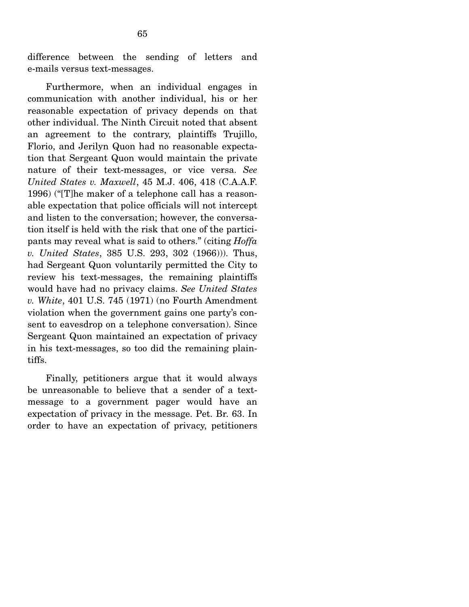difference between the sending of letters and e-mails versus text-messages.

 Furthermore, when an individual engages in communication with another individual, his or her reasonable expectation of privacy depends on that other individual. The Ninth Circuit noted that absent an agreement to the contrary, plaintiffs Trujillo, Florio, and Jerilyn Quon had no reasonable expectation that Sergeant Quon would maintain the private nature of their text-messages, or vice versa. *See United States v. Maxwell*, 45 M.J. 406, 418 (C.A.A.F. 1996) ("[T]he maker of a telephone call has a reasonable expectation that police officials will not intercept and listen to the conversation; however, the conversation itself is held with the risk that one of the participants may reveal what is said to others." (citing *Hoffa v. United States*, 385 U.S. 293, 302 (1966))). Thus, had Sergeant Quon voluntarily permitted the City to review his text-messages, the remaining plaintiffs would have had no privacy claims. *See United States v. White*, 401 U.S. 745 (1971) (no Fourth Amendment violation when the government gains one party's consent to eavesdrop on a telephone conversation). Since Sergeant Quon maintained an expectation of privacy in his text-messages, so too did the remaining plaintiffs.

 Finally, petitioners argue that it would always be unreasonable to believe that a sender of a textmessage to a government pager would have an expectation of privacy in the message. Pet. Br. 63. In order to have an expectation of privacy, petitioners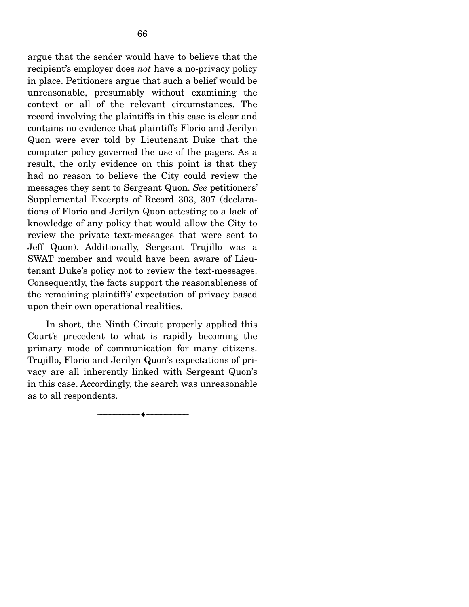argue that the sender would have to believe that the recipient's employer does *not* have a no-privacy policy in place. Petitioners argue that such a belief would be unreasonable, presumably without examining the context or all of the relevant circumstances. The record involving the plaintiffs in this case is clear and contains no evidence that plaintiffs Florio and Jerilyn Quon were ever told by Lieutenant Duke that the computer policy governed the use of the pagers. As a result, the only evidence on this point is that they had no reason to believe the City could review the messages they sent to Sergeant Quon. *See* petitioners' Supplemental Excerpts of Record 303, 307 (declarations of Florio and Jerilyn Quon attesting to a lack of knowledge of any policy that would allow the City to review the private text-messages that were sent to Jeff Quon). Additionally, Sergeant Trujillo was a SWAT member and would have been aware of Lieutenant Duke's policy not to review the text-messages. Consequently, the facts support the reasonableness of the remaining plaintiffs' expectation of privacy based upon their own operational realities.

 In short, the Ninth Circuit properly applied this Court's precedent to what is rapidly becoming the primary mode of communication for many citizens. Trujillo, Florio and Jerilyn Quon's expectations of privacy are all inherently linked with Sergeant Quon's in this case. Accordingly, the search was unreasonable as to all respondents.

--------------------------------- ♦ ---------------------------------